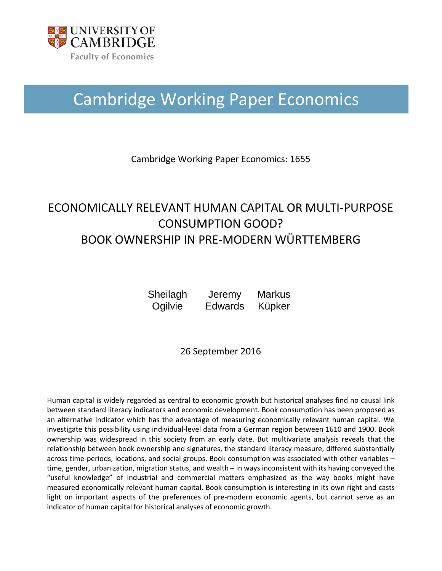

## Cambridge Working Paper Economics

Cambridge Working Paper Economics: 1655

### ECONOMICALLY RELEVANT HUMAN CAPITAL OR MULTI-PURPOSE CONSUMPTION GOOD? BOOK OWNERSHIP IN PRE-MODERN WÜRTTEMBERG

**Sheilagh Ogilvie Jeremy Edwards Markus** Küpker

26 September 2016

Human capital is widely regarded as central to economic growth but historical analyses find no causal link between standard literacy indicators and economic development. Book consumption has been proposed as an alternative indicator which has the advantage of measuring economically relevant human capital. We investigate this possibility using individual-level data from a German region between 1610 and 1900. Book ownership was widespread in this society from an early date. But multivariate analysis reveals that the relationship between book ownership and signatures, the standard literacy measure, differed substantially across time-periods, locations, and social groups. Book consumption was associated with other variables – time, gender, urbanization, migration status, and wealth – in ways inconsistent with its having conveyed the "useful knowledge" of industrial and commercial matters emphasized as the way books might have measured economically relevant human capital. Book consumption is interesting in its own right and casts light on important aspects of the preferences of pre-modern economic agents, but cannot serve as an indicator of human capital for historical analyses of economic growth.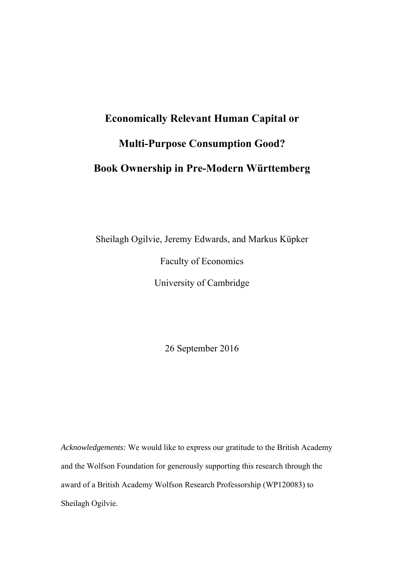# **Economically Relevant Human Capital or Multi-Purpose Consumption Good? Book Ownership in Pre-Modern Württemberg**

Sheilagh Ogilvie, Jeremy Edwards, and Markus Küpker

Faculty of Economics

University of Cambridge

26 September 2016

*Acknowledgements:* We would like to express our gratitude to the British Academy and the Wolfson Foundation for generously supporting this research through the award of a British Academy Wolfson Research Professorship (WP120083) to Sheilagh Ogilvie.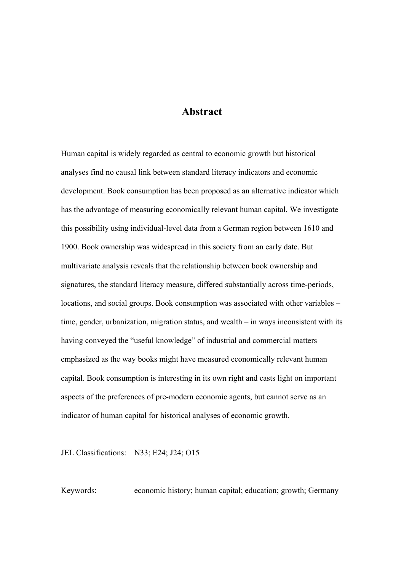#### **Abstract**

Human capital is widely regarded as central to economic growth but historical analyses find no causal link between standard literacy indicators and economic development. Book consumption has been proposed as an alternative indicator which has the advantage of measuring economically relevant human capital. We investigate this possibility using individual-level data from a German region between 1610 and 1900. Book ownership was widespread in this society from an early date. But multivariate analysis reveals that the relationship between book ownership and signatures, the standard literacy measure, differed substantially across time-periods, locations, and social groups. Book consumption was associated with other variables – time, gender, urbanization, migration status, and wealth – in ways inconsistent with its having conveyed the "useful knowledge" of industrial and commercial matters emphasized as the way books might have measured economically relevant human capital. Book consumption is interesting in its own right and casts light on important aspects of the preferences of pre-modern economic agents, but cannot serve as an indicator of human capital for historical analyses of economic growth.

JEL Classifications: N33; E24; J24; O15

Keywords: economic history; human capital; education; growth; Germany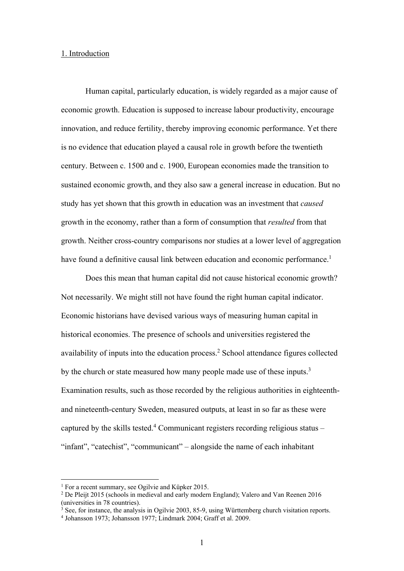#### 1. Introduction

Human capital, particularly education, is widely regarded as a major cause of economic growth. Education is supposed to increase labour productivity, encourage innovation, and reduce fertility, thereby improving economic performance. Yet there is no evidence that education played a causal role in growth before the twentieth century. Between c. 1500 and c. 1900, European economies made the transition to sustained economic growth, and they also saw a general increase in education. But no study has yet shown that this growth in education was an investment that *caused* growth in the economy, rather than a form of consumption that *resulted* from that growth. Neither cross-country comparisons nor studies at a lower level of aggregation have found a definitive causal link between education and economic performance.<sup>1</sup>

Does this mean that human capital did not cause historical economic growth? Not necessarily. We might still not have found the right human capital indicator. Economic historians have devised various ways of measuring human capital in historical economies. The presence of schools and universities registered the availability of inputs into the education process.<sup>2</sup> School attendance figures collected by the church or state measured how many people made use of these inputs.<sup>3</sup> Examination results, such as those recorded by the religious authorities in eighteenthand nineteenth-century Sweden, measured outputs, at least in so far as these were captured by the skills tested.<sup>4</sup> Communicant registers recording religious status  $-$ "infant", "catechist", "communicant" – alongside the name of each inhabitant

<u>.</u>

<sup>&</sup>lt;sup>1</sup> For a recent summary, see Ogilvie and Küpker 2015.

<sup>2</sup> De Pleijt 2015 (schools in medieval and early modern England); Valero and Van Reenen 2016 (universities in 78 countries).

<sup>&</sup>lt;sup>3</sup> See, for instance, the analysis in Ogilvie 2003, 85-9, using Württemberg church visitation reports.<br><sup>4</sup> Johansson 1973: Johansson 1977: Lindmark 2004: Graff et al. 2009

Johansson 1973; Johansson 1977; Lindmark 2004; Graff et al. 2009.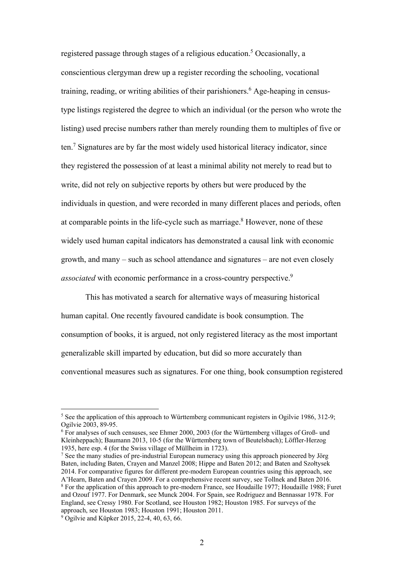registered passage through stages of a religious education.<sup>5</sup> Occasionally, a conscientious clergyman drew up a register recording the schooling, vocational training, reading, or writing abilities of their parishioners.<sup>6</sup> Age-heaping in censustype listings registered the degree to which an individual (or the person who wrote the listing) used precise numbers rather than merely rounding them to multiples of five or ten.<sup>7</sup> Signatures are by far the most widely used historical literacy indicator, since they registered the possession of at least a minimal ability not merely to read but to write, did not rely on subjective reports by others but were produced by the individuals in question, and were recorded in many different places and periods, often at comparable points in the life-cycle such as marriage. $8$  However, none of these widely used human capital indicators has demonstrated a causal link with economic growth, and many – such as school attendance and signatures – are not even closely *associated* with economic performance in a cross-country perspective.<sup>9</sup>

This has motivated a search for alternative ways of measuring historical human capital. One recently favoured candidate is book consumption. The consumption of books, it is argued, not only registered literacy as the most important generalizable skill imparted by education, but did so more accurately than conventional measures such as signatures. For one thing, book consumption registered

<u>.</u>

<sup>&</sup>lt;sup>5</sup> See the application of this approach to Württemberg communicant registers in Ogilvie 1986, 312-9; Ogilvie 2003, 89-95.

<sup>6</sup> For analyses of such censuses, see Ehmer 2000, 2003 (for the Württemberg villages of Groß- und Kleinheppach); Baumann 2013, 10-5 (for the Württemberg town of Beutelsbach); Löffler-Herzog 1935, here esp. 4 (for the Swiss village of Müllheim in 1723).

<sup>&</sup>lt;sup>7</sup> See the many studies of pre-industrial European numeracy using this approach pioneered by Jörg Baten, including Baten, Crayen and Manzel 2008; Hippe and Baten 2012; and Baten and Szołtysek 2014. For comparative figures for different pre-modern European countries using this approach, see A'Hearn, Baten and Crayen 2009. For a comprehensive recent survey, see Tollnek and Baten 2016. 8 For the application of this approach to pre-modern France, see Houdaille 1977; Houdaille 1988; Furet and Ozouf 1977. For Denmark, see Munck 2004. For Spain, see Rodriguez and Bennassar 1978. For England, see Cressy 1980. For Scotland, see Houston 1982; Houston 1985. For surveys of the approach, see Houston 1983; Houston 1991; Houston 2011.

<sup>9</sup> Ogilvie and Küpker 2015, 22-4, 40, 63, 66.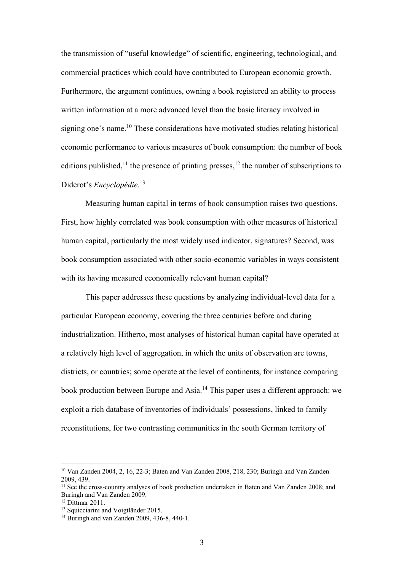the transmission of "useful knowledge" of scientific, engineering, technological, and commercial practices which could have contributed to European economic growth. Furthermore, the argument continues, owning a book registered an ability to process written information at a more advanced level than the basic literacy involved in signing one's name.<sup>10</sup> These considerations have motivated studies relating historical economic performance to various measures of book consumption: the number of book editions published,<sup>11</sup> the presence of printing presses,<sup>12</sup> the number of subscriptions to Diderot's *Encyclopédie*. 13

Measuring human capital in terms of book consumption raises two questions. First, how highly correlated was book consumption with other measures of historical human capital, particularly the most widely used indicator, signatures? Second, was book consumption associated with other socio-economic variables in ways consistent with its having measured economically relevant human capital?

This paper addresses these questions by analyzing individual-level data for a particular European economy, covering the three centuries before and during industrialization. Hitherto, most analyses of historical human capital have operated at a relatively high level of aggregation, in which the units of observation are towns, districts, or countries; some operate at the level of continents, for instance comparing book production between Europe and Asia.14 This paper uses a different approach: we exploit a rich database of inventories of individuals' possessions, linked to family reconstitutions, for two contrasting communities in the south German territory of

<sup>10</sup> Van Zanden 2004, 2, 16, 22-3; Baten and Van Zanden 2008, 218, 230; Buringh and Van Zanden 2009, 439.

<sup>&</sup>lt;sup>11</sup> See the cross-country analyses of book production undertaken in Baten and Van Zanden 2008; and Buringh and Van Zanden 2009.

<sup>&</sup>lt;sup>12</sup> Dittmar 2011.

<sup>&</sup>lt;sup>13</sup> Squicciarini and Voigtländer 2015.

<sup>14</sup> Buringh and van Zanden 2009, 436-8, 440-1.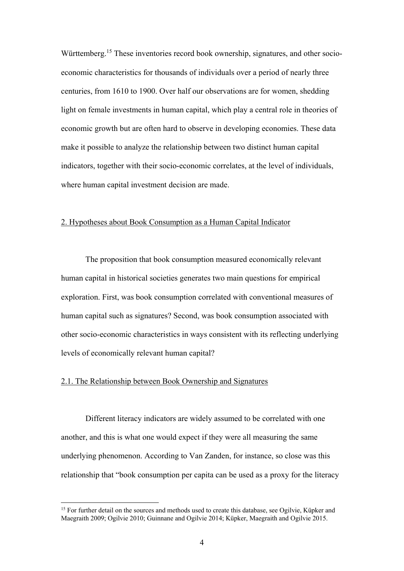Württemberg.<sup>15</sup> These inventories record book ownership, signatures, and other socioeconomic characteristics for thousands of individuals over a period of nearly three centuries, from 1610 to 1900. Over half our observations are for women, shedding light on female investments in human capital, which play a central role in theories of economic growth but are often hard to observe in developing economies. These data make it possible to analyze the relationship between two distinct human capital indicators, together with their socio-economic correlates, at the level of individuals, where human capital investment decision are made.

#### 2. Hypotheses about Book Consumption as a Human Capital Indicator

The proposition that book consumption measured economically relevant human capital in historical societies generates two main questions for empirical exploration. First, was book consumption correlated with conventional measures of human capital such as signatures? Second, was book consumption associated with other socio-economic characteristics in ways consistent with its reflecting underlying levels of economically relevant human capital?

#### 2.1. The Relationship between Book Ownership and Signatures

<u>.</u>

Different literacy indicators are widely assumed to be correlated with one another, and this is what one would expect if they were all measuring the same underlying phenomenon. According to Van Zanden, for instance, so close was this relationship that "book consumption per capita can be used as a proxy for the literacy

 $15$  For further detail on the sources and methods used to create this database, see Ogilvie, Küpker and Maegraith 2009; Ogilvie 2010; Guinnane and Ogilvie 2014; Küpker, Maegraith and Ogilvie 2015.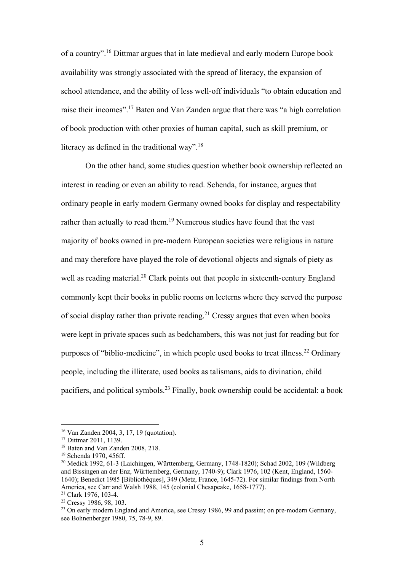of a country".16 Dittmar argues that in late medieval and early modern Europe book availability was strongly associated with the spread of literacy, the expansion of school attendance, and the ability of less well-off individuals "to obtain education and raise their incomes".17 Baten and Van Zanden argue that there was "a high correlation of book production with other proxies of human capital, such as skill premium, or literacy as defined in the traditional way".<sup>18</sup>

On the other hand, some studies question whether book ownership reflected an interest in reading or even an ability to read. Schenda, for instance, argues that ordinary people in early modern Germany owned books for display and respectability rather than actually to read them.<sup>19</sup> Numerous studies have found that the vast majority of books owned in pre-modern European societies were religious in nature and may therefore have played the role of devotional objects and signals of piety as well as reading material.<sup>20</sup> Clark points out that people in sixteenth-century England commonly kept their books in public rooms on lecterns where they served the purpose of social display rather than private reading.<sup>21</sup> Cressy argues that even when books were kept in private spaces such as bedchambers, this was not just for reading but for purposes of "biblio-medicine", in which people used books to treat illness.<sup>22</sup> Ordinary people, including the illiterate, used books as talismans, aids to divination, child pacifiers, and political symbols.23 Finally, book ownership could be accidental: a book

<sup>16</sup> Van Zanden 2004, 3, 17, 19 (quotation).

<sup>17</sup> Dittmar 2011, 1139.

<sup>18</sup> Baten and Van Zanden 2008, 218.

<sup>19</sup> Schenda 1970, 456ff.

 $20$  Medick 1992, 61-3 (Laichingen, Württemberg, Germany, 1748-1820); Schad 2002, 109 (Wildberg) and Bissingen an der Enz, Württemberg, Germany, 1740-9); Clark 1976, 102 (Kent, England, 1560- 1640); Benedict 1985 [Bibliothèques], 349 (Metz, France, 1645-72). For similar findings from North America, see Carr and Walsh 1988, 145 (colonial Chesapeake, 1658-1777).<br><sup>21</sup> Clark 1976, 103-4.

<sup>22</sup> Cressy 1986, 98, 103.

 $^{23}$  On early modern England and America, see Cressy 1986, 99 and passim; on pre-modern Germany, see Bohnenberger 1980, 75, 78-9, 89.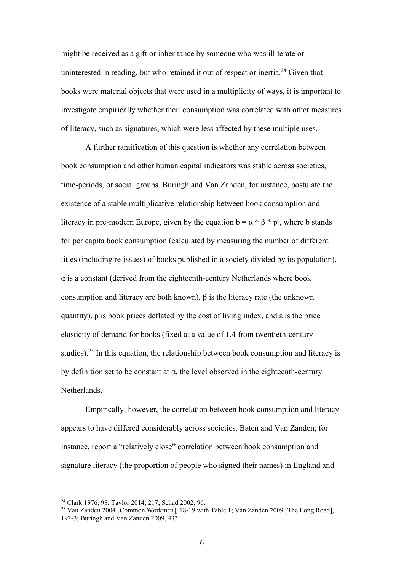might be received as a gift or inheritance by someone who was illiterate or uninterested in reading, but who retained it out of respect or inertia.<sup>24</sup> Given that books were material objects that were used in a multiplicity of ways, it is important to investigate empirically whether their consumption was correlated with other measures of literacy, such as signatures, which were less affected by these multiple uses.

A further ramification of this question is whether any correlation between book consumption and other human capital indicators was stable across societies, time-periods, or social groups. Buringh and Van Zanden, for instance, postulate the existence of a stable multiplicative relationship between book consumption and literacy in pre-modern Europe, given by the equation  $b = \alpha * \beta * p^{\epsilon}$ , where b stands for per capita book consumption (calculated by measuring the number of different titles (including re-issues) of books published in a society divided by its population),  $\alpha$  is a constant (derived from the eighteenth-century Netherlands where book consumption and literacy are both known), β is the literacy rate (the unknown quantity), p is book prices deflated by the cost of living index, and  $\varepsilon$  is the price elasticity of demand for books (fixed at a value of 1.4 from twentieth-century studies).<sup>25</sup> In this equation, the relationship between book consumption and literacy is by definition set to be constant at  $\alpha$ , the level observed in the eighteenth-century Netherlands.

Empirically, however, the correlation between book consumption and literacy appears to have differed considerably across societies. Baten and Van Zanden, for instance, report a "relatively close" correlation between book consumption and signature literacy (the proportion of people who signed their names) in England and

<sup>24</sup> Clark 1976, 98; Taylor 2014, 217; Schad 2002, 96.

<sup>25</sup> Van Zanden 2004 [Common Workmen], 18-19 with Table 1; Van Zanden 2009 [The Long Road], 192-3; Buringh and Van Zanden 2009, 433.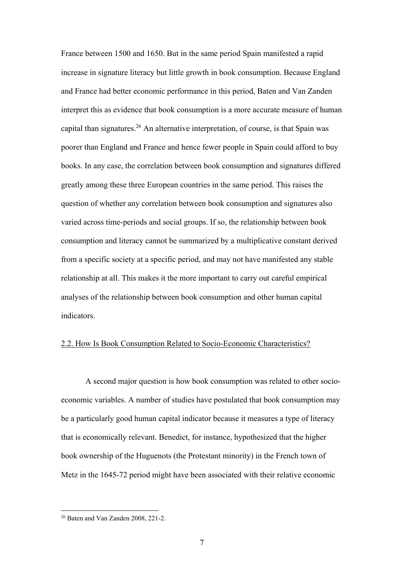France between 1500 and 1650. But in the same period Spain manifested a rapid increase in signature literacy but little growth in book consumption. Because England and France had better economic performance in this period, Baten and Van Zanden interpret this as evidence that book consumption is a more accurate measure of human capital than signatures.<sup>26</sup> An alternative interpretation, of course, is that Spain was poorer than England and France and hence fewer people in Spain could afford to buy books. In any case, the correlation between book consumption and signatures differed greatly among these three European countries in the same period. This raises the question of whether any correlation between book consumption and signatures also varied across time-periods and social groups. If so, the relationship between book consumption and literacy cannot be summarized by a multiplicative constant derived from a specific society at a specific period, and may not have manifested any stable relationship at all. This makes it the more important to carry out careful empirical analyses of the relationship between book consumption and other human capital indicators.

#### 2.2. How Is Book Consumption Related to Socio-Economic Characteristics?

A second major question is how book consumption was related to other socioeconomic variables. A number of studies have postulated that book consumption may be a particularly good human capital indicator because it measures a type of literacy that is economically relevant. Benedict, for instance, hypothesized that the higher book ownership of the Huguenots (the Protestant minority) in the French town of Metz in the 1645-72 period might have been associated with their relative economic

<sup>26</sup> Baten and Van Zanden 2008, 221-2.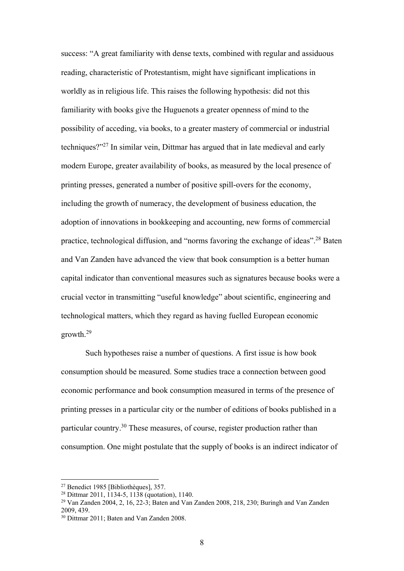success: "A great familiarity with dense texts, combined with regular and assiduous reading, characteristic of Protestantism, might have significant implications in worldly as in religious life. This raises the following hypothesis: did not this familiarity with books give the Huguenots a greater openness of mind to the possibility of acceding, via books, to a greater mastery of commercial or industrial techniques?"27 In similar vein, Dittmar has argued that in late medieval and early modern Europe, greater availability of books, as measured by the local presence of printing presses, generated a number of positive spill-overs for the economy, including the growth of numeracy, the development of business education, the adoption of innovations in bookkeeping and accounting, new forms of commercial practice, technological diffusion, and "norms favoring the exchange of ideas".28 Baten and Van Zanden have advanced the view that book consumption is a better human capital indicator than conventional measures such as signatures because books were a crucial vector in transmitting "useful knowledge" about scientific, engineering and technological matters, which they regard as having fuelled European economic growth.29

Such hypotheses raise a number of questions. A first issue is how book consumption should be measured. Some studies trace a connection between good economic performance and book consumption measured in terms of the presence of printing presses in a particular city or the number of editions of books published in a particular country.30 These measures, of course, register production rather than consumption. One might postulate that the supply of books is an indirect indicator of

<u>.</u>

<sup>27</sup> Benedict 1985 [Bibliothèques], 357.

<sup>28</sup> Dittmar 2011, 1134-5, 1138 (quotation), 1140.

<sup>29</sup> Van Zanden 2004, 2, 16, 22-3; Baten and Van Zanden 2008, 218, 230; Buringh and Van Zanden 2009, 439.

<sup>30</sup> Dittmar 2011; Baten and Van Zanden 2008.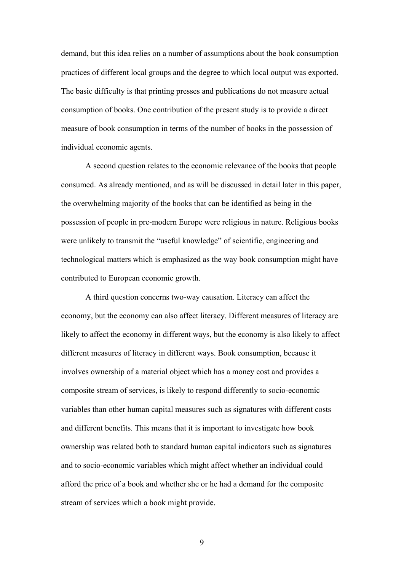demand, but this idea relies on a number of assumptions about the book consumption practices of different local groups and the degree to which local output was exported. The basic difficulty is that printing presses and publications do not measure actual consumption of books. One contribution of the present study is to provide a direct measure of book consumption in terms of the number of books in the possession of individual economic agents.

A second question relates to the economic relevance of the books that people consumed. As already mentioned, and as will be discussed in detail later in this paper, the overwhelming majority of the books that can be identified as being in the possession of people in pre-modern Europe were religious in nature. Religious books were unlikely to transmit the "useful knowledge" of scientific, engineering and technological matters which is emphasized as the way book consumption might have contributed to European economic growth.

A third question concerns two-way causation. Literacy can affect the economy, but the economy can also affect literacy. Different measures of literacy are likely to affect the economy in different ways, but the economy is also likely to affect different measures of literacy in different ways. Book consumption, because it involves ownership of a material object which has a money cost and provides a composite stream of services, is likely to respond differently to socio-economic variables than other human capital measures such as signatures with different costs and different benefits. This means that it is important to investigate how book ownership was related both to standard human capital indicators such as signatures and to socio-economic variables which might affect whether an individual could afford the price of a book and whether she or he had a demand for the composite stream of services which a book might provide.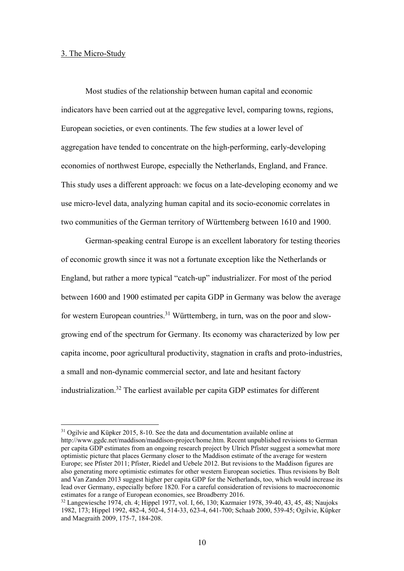#### 3. The Micro-Study

1

Most studies of the relationship between human capital and economic indicators have been carried out at the aggregative level, comparing towns, regions, European societies, or even continents. The few studies at a lower level of aggregation have tended to concentrate on the high-performing, early-developing economies of northwest Europe, especially the Netherlands, England, and France. This study uses a different approach: we focus on a late-developing economy and we use micro-level data, analyzing human capital and its socio-economic correlates in two communities of the German territory of Württemberg between 1610 and 1900.

German-speaking central Europe is an excellent laboratory for testing theories of economic growth since it was not a fortunate exception like the Netherlands or England, but rather a more typical "catch-up" industrializer. For most of the period between 1600 and 1900 estimated per capita GDP in Germany was below the average for western European countries.<sup>31</sup> Württemberg, in turn, was on the poor and slowgrowing end of the spectrum for Germany. Its economy was characterized by low per capita income, poor agricultural productivity, stagnation in crafts and proto-industries, a small and non-dynamic commercial sector, and late and hesitant factory industrialization.32 The earliest available per capita GDP estimates for different

<sup>&</sup>lt;sup>31</sup> Ogilvie and Küpker 2015, 8-10. See the data and documentation available online at http://www.ggdc.net/maddison/maddison-project/home.htm. Recent unpublished revisions to German per capita GDP estimates from an ongoing research project by Ulrich Pfister suggest a somewhat more optimistic picture that places Germany closer to the Maddison estimate of the average for western Europe; see Pfister 2011; Pfister, Riedel and Uebele 2012. But revisions to the Maddison figures are also generating more optimistic estimates for other western European societies. Thus revisions by Bolt and Van Zanden 2013 suggest higher per capita GDP for the Netherlands, too, which would increase its lead over Germany, especially before 1820. For a careful consideration of revisions to macroeconomic estimates for a range of European economies, see Broadberry 2016.

<sup>32</sup> Langewiesche 1974, ch. 4; Hippel 1977, vol. I, 66, 130; Kazmaier 1978, 39-40, 43, 45, 48; Naujoks 1982, 173; Hippel 1992, 482-4, 502-4, 514-33, 623-4, 641-700; Schaab 2000, 539-45; Ogilvie, Küpker and Maegraith 2009, 175-7, 184-208.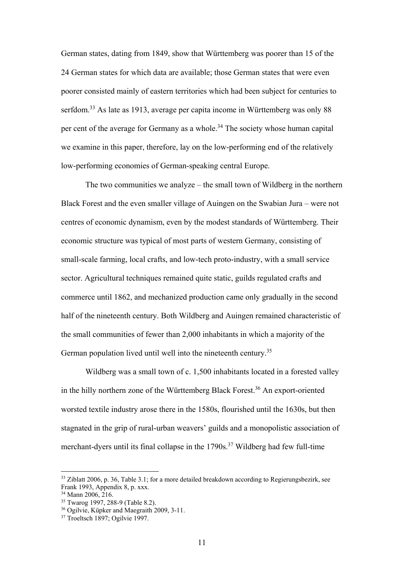German states, dating from 1849, show that Württemberg was poorer than 15 of the 24 German states for which data are available; those German states that were even poorer consisted mainly of eastern territories which had been subject for centuries to serfdom.<sup>33</sup> As late as 1913, average per capita income in Württemberg was only 88 per cent of the average for Germany as a whole.<sup>34</sup> The society whose human capital we examine in this paper, therefore, lay on the low-performing end of the relatively low-performing economies of German-speaking central Europe.

The two communities we analyze – the small town of Wildberg in the northern Black Forest and the even smaller village of Auingen on the Swabian Jura – were not centres of economic dynamism, even by the modest standards of Württemberg. Their economic structure was typical of most parts of western Germany, consisting of small-scale farming, local crafts, and low-tech proto-industry, with a small service sector. Agricultural techniques remained quite static, guilds regulated crafts and commerce until 1862, and mechanized production came only gradually in the second half of the nineteenth century. Both Wildberg and Auingen remained characteristic of the small communities of fewer than 2,000 inhabitants in which a majority of the German population lived until well into the nineteenth century.<sup>35</sup>

Wildberg was a small town of c. 1,500 inhabitants located in a forested valley in the hilly northern zone of the Württemberg Black Forest.<sup>36</sup> An export-oriented worsted textile industry arose there in the 1580s, flourished until the 1630s, but then stagnated in the grip of rural-urban weavers' guilds and a monopolistic association of merchant-dyers until its final collapse in the  $1790s$ .<sup>37</sup> Wildberg had few full-time

 $33$  Ziblatt 2006, p. 36, Table 3.1; for a more detailed breakdown according to Regierungsbezirk, see Frank 1993, Appendix 8, p. xxx.

<sup>&</sup>lt;sup>34</sup> Mann 2006, 216.

<sup>35</sup> Twarog 1997, 288-9 (Table 8.2).

<sup>36</sup> Ogilvie, Küpker and Maegraith 2009, 3-11.

<sup>37</sup> Troeltsch 1897; Ogilvie 1997.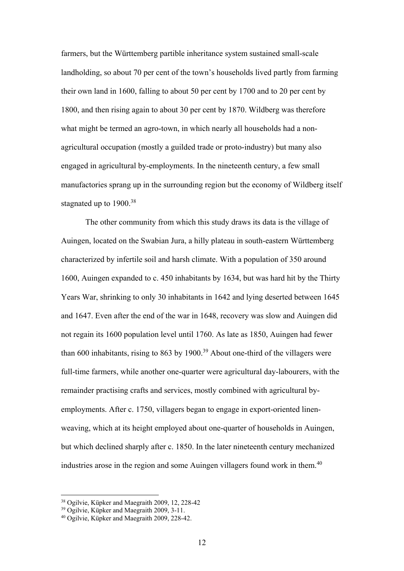farmers, but the Württemberg partible inheritance system sustained small-scale landholding, so about 70 per cent of the town's households lived partly from farming their own land in 1600, falling to about 50 per cent by 1700 and to 20 per cent by 1800, and then rising again to about 30 per cent by 1870. Wildberg was therefore what might be termed an agro-town, in which nearly all households had a nonagricultural occupation (mostly a guilded trade or proto-industry) but many also engaged in agricultural by-employments. In the nineteenth century, a few small manufactories sprang up in the surrounding region but the economy of Wildberg itself stagnated up to 1900.<sup>38</sup>

The other community from which this study draws its data is the village of Auingen, located on the Swabian Jura, a hilly plateau in south-eastern Württemberg characterized by infertile soil and harsh climate. With a population of 350 around 1600, Auingen expanded to c. 450 inhabitants by 1634, but was hard hit by the Thirty Years War, shrinking to only 30 inhabitants in 1642 and lying deserted between 1645 and 1647. Even after the end of the war in 1648, recovery was slow and Auingen did not regain its 1600 population level until 1760. As late as 1850, Auingen had fewer than 600 inhabitants, rising to 863 by 1900.<sup>39</sup> About one-third of the villagers were full-time farmers, while another one-quarter were agricultural day-labourers, with the remainder practising crafts and services, mostly combined with agricultural byemployments. After c. 1750, villagers began to engage in export-oriented linenweaving, which at its height employed about one-quarter of households in Auingen, but which declined sharply after c. 1850. In the later nineteenth century mechanized industries arose in the region and some Auingen villagers found work in them.<sup>40</sup>

<sup>38</sup> Ogilvie, Küpker and Maegraith 2009, 12, 228-42

<sup>39</sup> Ogilvie, Küpker and Maegraith 2009, 3-11.

<sup>40</sup> Ogilvie, Küpker and Maegraith 2009, 228-42.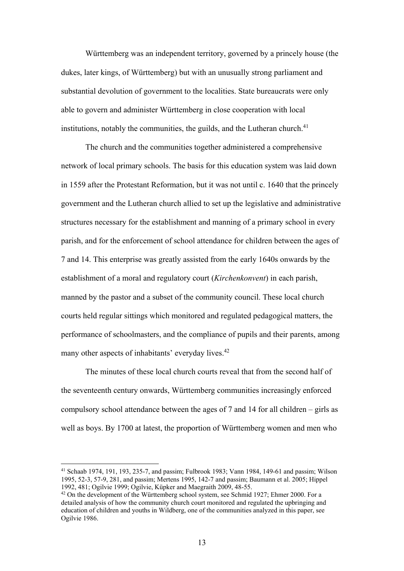Württemberg was an independent territory, governed by a princely house (the dukes, later kings, of Württemberg) but with an unusually strong parliament and substantial devolution of government to the localities. State bureaucrats were only able to govern and administer Württemberg in close cooperation with local institutions, notably the communities, the guilds, and the Lutheran church.<sup>41</sup>

The church and the communities together administered a comprehensive network of local primary schools. The basis for this education system was laid down in 1559 after the Protestant Reformation, but it was not until c. 1640 that the princely government and the Lutheran church allied to set up the legislative and administrative structures necessary for the establishment and manning of a primary school in every parish, and for the enforcement of school attendance for children between the ages of 7 and 14. This enterprise was greatly assisted from the early 1640s onwards by the establishment of a moral and regulatory court (*Kirchenkonvent*) in each parish, manned by the pastor and a subset of the community council. These local church courts held regular sittings which monitored and regulated pedagogical matters, the performance of schoolmasters, and the compliance of pupils and their parents, among many other aspects of inhabitants' everyday lives.<sup>42</sup>

The minutes of these local church courts reveal that from the second half of the seventeenth century onwards, Württemberg communities increasingly enforced compulsory school attendance between the ages of 7 and 14 for all children – girls as well as boys. By 1700 at latest, the proportion of Württemberg women and men who

<sup>41</sup> Schaab 1974, 191, 193, 235-7, and passim; Fulbrook 1983; Vann 1984, 149-61 and passim; Wilson 1995, 52-3, 57-9, 281, and passim; Mertens 1995, 142-7 and passim; Baumann et al. 2005; Hippel

 $42$  On the development of the Württemberg school system, see Schmid 1927; Ehmer 2000. For a detailed analysis of how the community church court monitored and regulated the upbringing and education of children and youths in Wildberg, one of the communities analyzed in this paper, see Ogilvie 1986.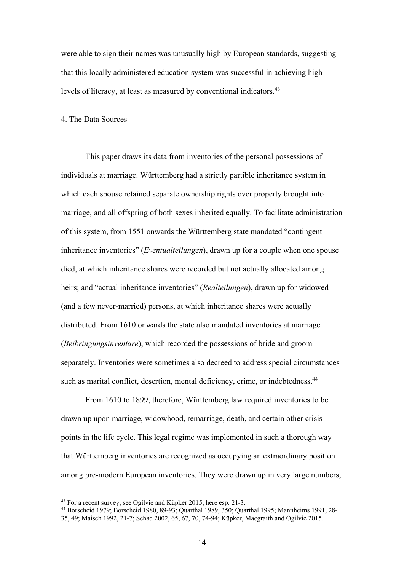were able to sign their names was unusually high by European standards, suggesting that this locally administered education system was successful in achieving high levels of literacy, at least as measured by conventional indicators.<sup>43</sup>

#### 4. The Data Sources

This paper draws its data from inventories of the personal possessions of individuals at marriage. Württemberg had a strictly partible inheritance system in which each spouse retained separate ownership rights over property brought into marriage, and all offspring of both sexes inherited equally. To facilitate administration of this system, from 1551 onwards the Württemberg state mandated "contingent inheritance inventories" (*Eventualteilungen*), drawn up for a couple when one spouse died, at which inheritance shares were recorded but not actually allocated among heirs; and "actual inheritance inventories" (*Realteilungen*), drawn up for widowed (and a few never-married) persons, at which inheritance shares were actually distributed. From 1610 onwards the state also mandated inventories at marriage (*Beibringungsinventare*), which recorded the possessions of bride and groom separately. Inventories were sometimes also decreed to address special circumstances such as marital conflict, desertion, mental deficiency, crime, or indebtedness.<sup>44</sup>

From 1610 to 1899, therefore, Württemberg law required inventories to be drawn up upon marriage, widowhood, remarriage, death, and certain other crisis points in the life cycle. This legal regime was implemented in such a thorough way that Württemberg inventories are recognized as occupying an extraordinary position among pre-modern European inventories. They were drawn up in very large numbers,

<sup>&</sup>lt;sup>43</sup> For a recent survey, see Ogilvie and Küpker 2015, here esp. 21-3.<br><sup>44</sup> Borscheid 1979; Borscheid 1980, 89-93; Quarthal 1989, 350; Quarthal 1995; Mannheims 1991, 28-35, 49; Maisch 1992, 21-7; Schad 2002, 65, 67, 70, 74-94; Küpker, Maegraith and Ogilvie 2015.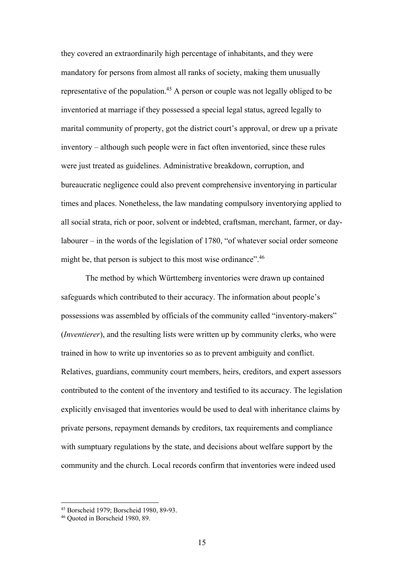they covered an extraordinarily high percentage of inhabitants, and they were mandatory for persons from almost all ranks of society, making them unusually representative of the population.<sup>45</sup> A person or couple was not legally obliged to be inventoried at marriage if they possessed a special legal status, agreed legally to marital community of property, got the district court's approval, or drew up a private inventory – although such people were in fact often inventoried, since these rules were just treated as guidelines. Administrative breakdown, corruption, and bureaucratic negligence could also prevent comprehensive inventorying in particular times and places. Nonetheless, the law mandating compulsory inventorying applied to all social strata, rich or poor, solvent or indebted, craftsman, merchant, farmer, or daylabourer – in the words of the legislation of 1780, "of whatever social order someone might be, that person is subject to this most wise ordinance".<sup>46</sup>

The method by which Württemberg inventories were drawn up contained safeguards which contributed to their accuracy. The information about people's possessions was assembled by officials of the community called "inventory-makers" (*Inventierer*), and the resulting lists were written up by community clerks, who were trained in how to write up inventories so as to prevent ambiguity and conflict. Relatives, guardians, community court members, heirs, creditors, and expert assessors contributed to the content of the inventory and testified to its accuracy. The legislation explicitly envisaged that inventories would be used to deal with inheritance claims by private persons, repayment demands by creditors, tax requirements and compliance with sumptuary regulations by the state, and decisions about welfare support by the community and the church. Local records confirm that inventories were indeed used

<u>.</u>

<sup>45</sup> Borscheid 1979; Borscheid 1980, 89-93.

<sup>46</sup> Quoted in Borscheid 1980, 89.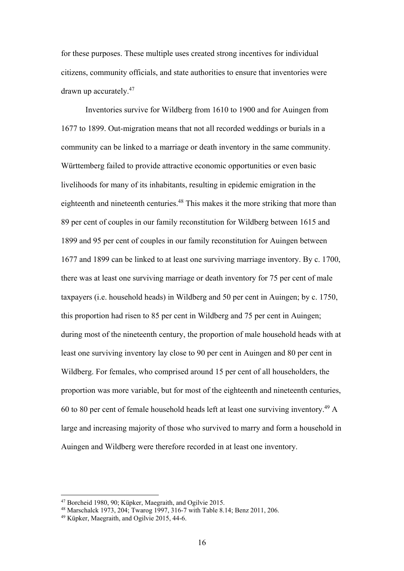for these purposes. These multiple uses created strong incentives for individual citizens, community officials, and state authorities to ensure that inventories were drawn up accurately.47

Inventories survive for Wildberg from 1610 to 1900 and for Auingen from 1677 to 1899. Out-migration means that not all recorded weddings or burials in a community can be linked to a marriage or death inventory in the same community. Württemberg failed to provide attractive economic opportunities or even basic livelihoods for many of its inhabitants, resulting in epidemic emigration in the eighteenth and nineteenth centuries.<sup>48</sup> This makes it the more striking that more than 89 per cent of couples in our family reconstitution for Wildberg between 1615 and 1899 and 95 per cent of couples in our family reconstitution for Auingen between 1677 and 1899 can be linked to at least one surviving marriage inventory. By c. 1700, there was at least one surviving marriage or death inventory for 75 per cent of male taxpayers (i.e. household heads) in Wildberg and 50 per cent in Auingen; by c. 1750, this proportion had risen to 85 per cent in Wildberg and 75 per cent in Auingen; during most of the nineteenth century, the proportion of male household heads with at least one surviving inventory lay close to 90 per cent in Auingen and 80 per cent in Wildberg. For females, who comprised around 15 per cent of all householders, the proportion was more variable, but for most of the eighteenth and nineteenth centuries, 60 to 80 per cent of female household heads left at least one surviving inventory.49 A large and increasing majority of those who survived to marry and form a household in Auingen and Wildberg were therefore recorded in at least one inventory.

<sup>47</sup> Borcheid 1980, 90; Küpker, Maegraith, and Ogilvie 2015.

<sup>48</sup> Marschalck 1973, 204; Twarog 1997, 316-7 with Table 8.14; Benz 2011, 206.

<sup>49</sup> Küpker, Maegraith, and Ogilvie 2015, 44-6.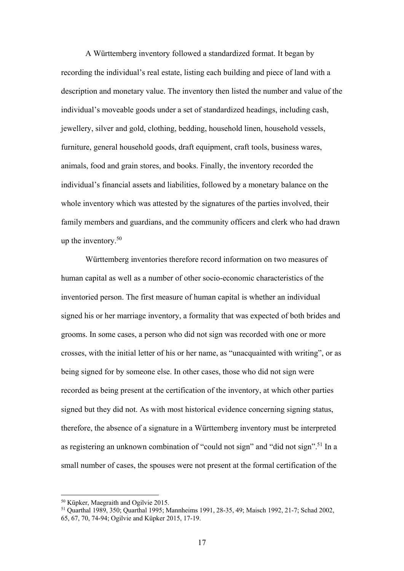A Württemberg inventory followed a standardized format. It began by recording the individual's real estate, listing each building and piece of land with a description and monetary value. The inventory then listed the number and value of the individual's moveable goods under a set of standardized headings, including cash, jewellery, silver and gold, clothing, bedding, household linen, household vessels, furniture, general household goods, draft equipment, craft tools, business wares, animals, food and grain stores, and books. Finally, the inventory recorded the individual's financial assets and liabilities, followed by a monetary balance on the whole inventory which was attested by the signatures of the parties involved, their family members and guardians, and the community officers and clerk who had drawn up the inventory.50

Württemberg inventories therefore record information on two measures of human capital as well as a number of other socio-economic characteristics of the inventoried person. The first measure of human capital is whether an individual signed his or her marriage inventory, a formality that was expected of both brides and grooms. In some cases, a person who did not sign was recorded with one or more crosses, with the initial letter of his or her name, as "unacquainted with writing", or as being signed for by someone else. In other cases, those who did not sign were recorded as being present at the certification of the inventory, at which other parties signed but they did not. As with most historical evidence concerning signing status, therefore, the absence of a signature in a Württemberg inventory must be interpreted as registering an unknown combination of "could not sign" and "did not sign".<sup>51</sup> In a small number of cases, the spouses were not present at the formal certification of the

<sup>50</sup> Küpker, Maegraith and Ogilvie 2015.

<sup>51</sup> Quarthal 1989, 350; Quarthal 1995; Mannheims 1991, 28-35, 49; Maisch 1992, 21-7; Schad 2002, 65, 67, 70, 74-94; Ogilvie and Küpker 2015, 17-19.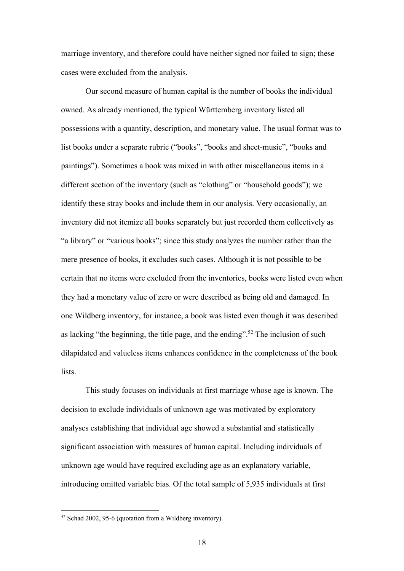marriage inventory, and therefore could have neither signed nor failed to sign; these cases were excluded from the analysis.

Our second measure of human capital is the number of books the individual owned. As already mentioned, the typical Württemberg inventory listed all possessions with a quantity, description, and monetary value. The usual format was to list books under a separate rubric ("books", "books and sheet-music", "books and paintings"). Sometimes a book was mixed in with other miscellaneous items in a different section of the inventory (such as "clothing" or "household goods"); we identify these stray books and include them in our analysis. Very occasionally, an inventory did not itemize all books separately but just recorded them collectively as "a library" or "various books"; since this study analyzes the number rather than the mere presence of books, it excludes such cases. Although it is not possible to be certain that no items were excluded from the inventories, books were listed even when they had a monetary value of zero or were described as being old and damaged. In one Wildberg inventory, for instance, a book was listed even though it was described as lacking "the beginning, the title page, and the ending".<sup>52</sup> The inclusion of such dilapidated and valueless items enhances confidence in the completeness of the book lists.

This study focuses on individuals at first marriage whose age is known. The decision to exclude individuals of unknown age was motivated by exploratory analyses establishing that individual age showed a substantial and statistically significant association with measures of human capital. Including individuals of unknown age would have required excluding age as an explanatory variable, introducing omitted variable bias. Of the total sample of 5,935 individuals at first

<sup>52</sup> Schad 2002, 95-6 (quotation from a Wildberg inventory).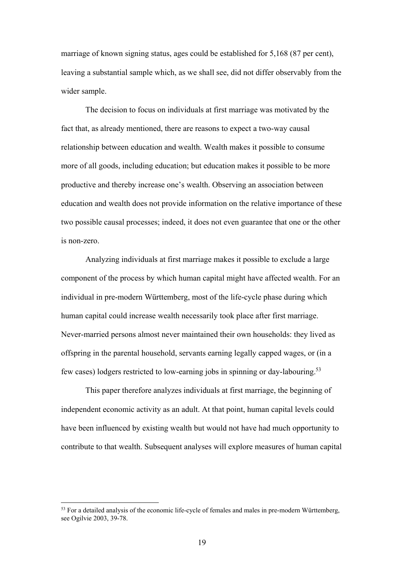marriage of known signing status, ages could be established for 5,168 (87 per cent), leaving a substantial sample which, as we shall see, did not differ observably from the wider sample.

The decision to focus on individuals at first marriage was motivated by the fact that, as already mentioned, there are reasons to expect a two-way causal relationship between education and wealth. Wealth makes it possible to consume more of all goods, including education; but education makes it possible to be more productive and thereby increase one's wealth. Observing an association between education and wealth does not provide information on the relative importance of these two possible causal processes; indeed, it does not even guarantee that one or the other is non-zero.

Analyzing individuals at first marriage makes it possible to exclude a large component of the process by which human capital might have affected wealth. For an individual in pre-modern Württemberg, most of the life-cycle phase during which human capital could increase wealth necessarily took place after first marriage. Never-married persons almost never maintained their own households: they lived as offspring in the parental household, servants earning legally capped wages, or (in a few cases) lodgers restricted to low-earning jobs in spinning or day-labouring.53

This paper therefore analyzes individuals at first marriage, the beginning of independent economic activity as an adult. At that point, human capital levels could have been influenced by existing wealth but would not have had much opportunity to contribute to that wealth. Subsequent analyses will explore measures of human capital

<u>.</u>

 $53$  For a detailed analysis of the economic life-cycle of females and males in pre-modern Württemberg, see Ogilvie 2003, 39-78.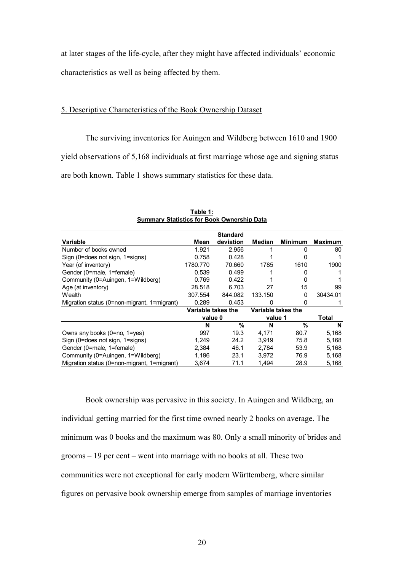at later stages of the life-cycle, after they might have affected individuals' economic characteristics as well as being affected by them.

#### 5. Descriptive Characteristics of the Book Ownership Dataset

The surviving inventories for Auingen and Wildberg between 1610 and 1900 yield observations of 5,168 individuals at first marriage whose age and signing status

are both known. Table 1 shows summary statistics for these data.

|                                             |                    | <b>Standard</b> |                    |                |                |
|---------------------------------------------|--------------------|-----------------|--------------------|----------------|----------------|
| Variable                                    | Mean               | deviation       | Median             | <b>Minimum</b> | <b>Maximum</b> |
| Number of books owned                       | 1.921              | 2.956           |                    | 0              | 80             |
| Sign (0=does not sign, 1=signs)             | 0.758              | 0.428           |                    | 0              |                |
| Year (of inventory)                         | 1780.770           | 70.660          | 1785               | 1610           | 1900           |
| Gender (0=male, 1=female)                   | 0.539              | 0.499           |                    | 0              |                |
| Community (0=Auingen, 1=Wildberg)           | 0.769              | 0.422           |                    | 0              |                |
| Age (at inventory)                          | 28.518             | 6.703           | 27                 | 15             | 99             |
| Wealth                                      | 307.554            | 844.082         | 133.150            | 0              | 30434.01       |
| Migration status (0=non-migrant, 1=migrant) | 0.289              | 0.453           | 0                  | 0              |                |
|                                             | Variable takes the |                 | Variable takes the |                |                |
|                                             | value 0            |                 | value 1            |                | <b>Total</b>   |
|                                             | N                  | %               | N                  | $\frac{9}{6}$  | N              |
| Owns any books (0=no, 1=yes)                | 997                | 19.3            | 4,171              | 80.7           | 5,168          |
| Sign (0=does not sign, 1=signs)             | 1,249              | 24.2            | 3,919              | 75.8           | 5,168          |
| Gender (0=male, 1=female)                   | 2,384              | 46.1            | 2,784              | 53.9           | 5,168          |
| Community (0=Auingen, 1=Wildberg)           | 1,196              | 23.1            | 3,972              | 76.9           | 5,168          |
| Migration status (0=non-migrant, 1=migrant) | 3,674              | 71.1            | 1,494              | 28.9           | 5,168          |

**Table 1: Summary Statistics for Book Ownership Data**

Book ownership was pervasive in this society. In Auingen and Wildberg, an individual getting married for the first time owned nearly 2 books on average. The minimum was 0 books and the maximum was 80. Only a small minority of brides and grooms – 19 per cent – went into marriage with no books at all. These two communities were not exceptional for early modern Württemberg, where similar figures on pervasive book ownership emerge from samples of marriage inventories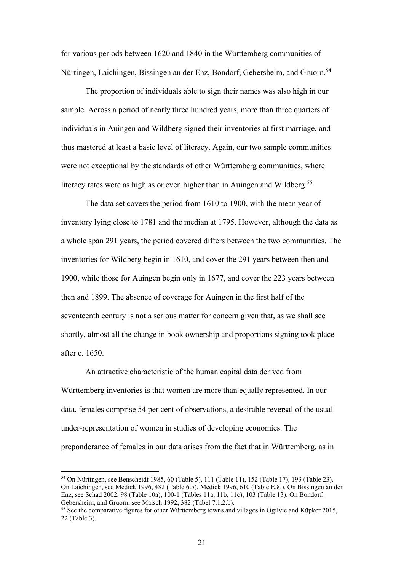for various periods between 1620 and 1840 in the Württemberg communities of Nürtingen, Laichingen, Bissingen an der Enz, Bondorf, Gebersheim, and Gruorn.<sup>54</sup>

The proportion of individuals able to sign their names was also high in our sample. Across a period of nearly three hundred years, more than three quarters of individuals in Auingen and Wildberg signed their inventories at first marriage, and thus mastered at least a basic level of literacy. Again, our two sample communities were not exceptional by the standards of other Württemberg communities, where literacy rates were as high as or even higher than in Auingen and Wildberg.<sup>55</sup>

The data set covers the period from 1610 to 1900, with the mean year of inventory lying close to 1781 and the median at 1795. However, although the data as a whole span 291 years, the period covered differs between the two communities. The inventories for Wildberg begin in 1610, and cover the 291 years between then and 1900, while those for Auingen begin only in 1677, and cover the 223 years between then and 1899. The absence of coverage for Auingen in the first half of the seventeenth century is not a serious matter for concern given that, as we shall see shortly, almost all the change in book ownership and proportions signing took place after c. 1650.

An attractive characteristic of the human capital data derived from Württemberg inventories is that women are more than equally represented. In our data, females comprise 54 per cent of observations, a desirable reversal of the usual under-representation of women in studies of developing economies. The preponderance of females in our data arises from the fact that in Württemberg, as in

<sup>54</sup> On Nürtingen, see Benscheidt 1985, 60 (Table 5), 111 (Table 11), 152 (Table 17), 193 (Table 23). On Laichingen, see Medick 1996, 482 (Table 6.5), Medick 1996, 610 (Table E.8.). On Bissingen an der Enz, see Schad 2002, 98 (Table 10a), 100-1 (Tables 11a, 11b, 11c), 103 (Table 13). On Bondorf,

 $<sup>55</sup>$  See the comparative figures for other Württemberg towns and villages in Ogilvie and Küpker 2015,</sup> 22 (Table 3).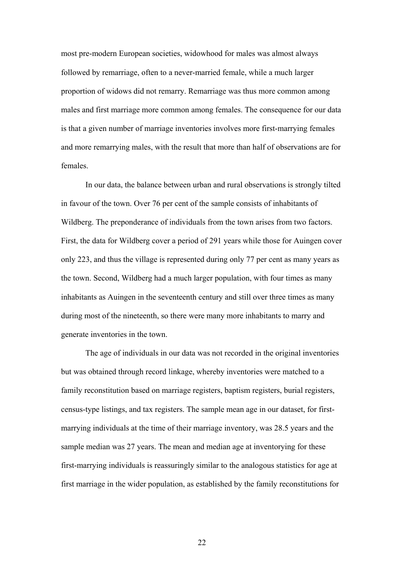most pre-modern European societies, widowhood for males was almost always followed by remarriage, often to a never-married female, while a much larger proportion of widows did not remarry. Remarriage was thus more common among males and first marriage more common among females. The consequence for our data is that a given number of marriage inventories involves more first-marrying females and more remarrying males, with the result that more than half of observations are for females.

In our data, the balance between urban and rural observations is strongly tilted in favour of the town. Over 76 per cent of the sample consists of inhabitants of Wildberg. The preponderance of individuals from the town arises from two factors. First, the data for Wildberg cover a period of 291 years while those for Auingen cover only 223, and thus the village is represented during only 77 per cent as many years as the town. Second, Wildberg had a much larger population, with four times as many inhabitants as Auingen in the seventeenth century and still over three times as many during most of the nineteenth, so there were many more inhabitants to marry and generate inventories in the town.

The age of individuals in our data was not recorded in the original inventories but was obtained through record linkage, whereby inventories were matched to a family reconstitution based on marriage registers, baptism registers, burial registers, census-type listings, and tax registers. The sample mean age in our dataset, for firstmarrying individuals at the time of their marriage inventory, was 28.5 years and the sample median was 27 years. The mean and median age at inventorying for these first-marrying individuals is reassuringly similar to the analogous statistics for age at first marriage in the wider population, as established by the family reconstitutions for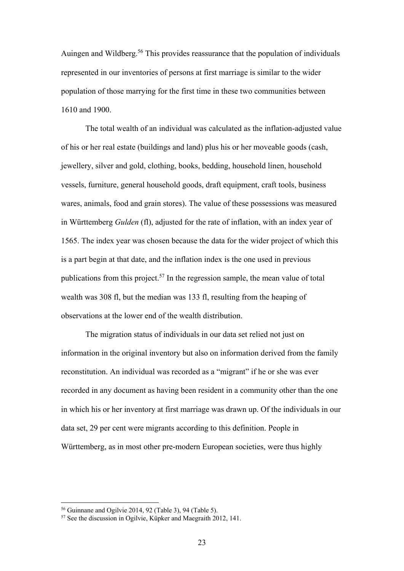Auingen and Wildberg.<sup>56</sup> This provides reassurance that the population of individuals represented in our inventories of persons at first marriage is similar to the wider population of those marrying for the first time in these two communities between 1610 and 1900.

The total wealth of an individual was calculated as the inflation-adjusted value of his or her real estate (buildings and land) plus his or her moveable goods (cash, jewellery, silver and gold, clothing, books, bedding, household linen, household vessels, furniture, general household goods, draft equipment, craft tools, business wares, animals, food and grain stores). The value of these possessions was measured in Württemberg *Gulden* (fl), adjusted for the rate of inflation, with an index year of 1565. The index year was chosen because the data for the wider project of which this is a part begin at that date, and the inflation index is the one used in previous publications from this project.<sup>57</sup> In the regression sample, the mean value of total wealth was 308 fl, but the median was 133 fl, resulting from the heaping of observations at the lower end of the wealth distribution.

The migration status of individuals in our data set relied not just on information in the original inventory but also on information derived from the family reconstitution. An individual was recorded as a "migrant" if he or she was ever recorded in any document as having been resident in a community other than the one in which his or her inventory at first marriage was drawn up. Of the individuals in our data set, 29 per cent were migrants according to this definition. People in Württemberg, as in most other pre-modern European societies, were thus highly

<u>.</u>

 $56$  Guinnane and Ogilvie 2014, 92 (Table 3), 94 (Table 5).

<sup>57</sup> See the discussion in Ogilvie, Küpker and Maegraith 2012, 141.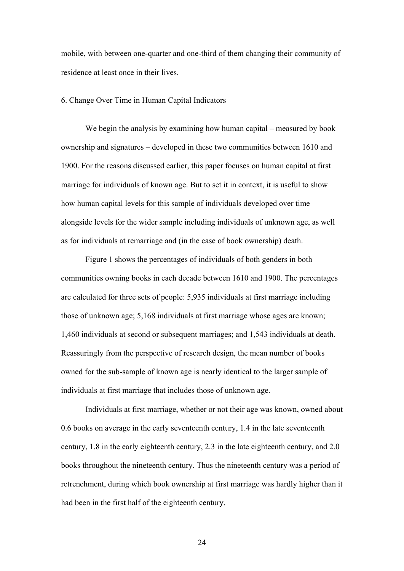mobile, with between one-quarter and one-third of them changing their community of residence at least once in their lives.

#### 6. Change Over Time in Human Capital Indicators

We begin the analysis by examining how human capital – measured by book ownership and signatures – developed in these two communities between 1610 and 1900. For the reasons discussed earlier, this paper focuses on human capital at first marriage for individuals of known age. But to set it in context, it is useful to show how human capital levels for this sample of individuals developed over time alongside levels for the wider sample including individuals of unknown age, as well as for individuals at remarriage and (in the case of book ownership) death.

Figure 1 shows the percentages of individuals of both genders in both communities owning books in each decade between 1610 and 1900. The percentages are calculated for three sets of people: 5,935 individuals at first marriage including those of unknown age; 5,168 individuals at first marriage whose ages are known; 1,460 individuals at second or subsequent marriages; and 1,543 individuals at death. Reassuringly from the perspective of research design, the mean number of books owned for the sub-sample of known age is nearly identical to the larger sample of individuals at first marriage that includes those of unknown age.

Individuals at first marriage, whether or not their age was known, owned about 0.6 books on average in the early seventeenth century, 1.4 in the late seventeenth century, 1.8 in the early eighteenth century, 2.3 in the late eighteenth century, and 2.0 books throughout the nineteenth century. Thus the nineteenth century was a period of retrenchment, during which book ownership at first marriage was hardly higher than it had been in the first half of the eighteenth century.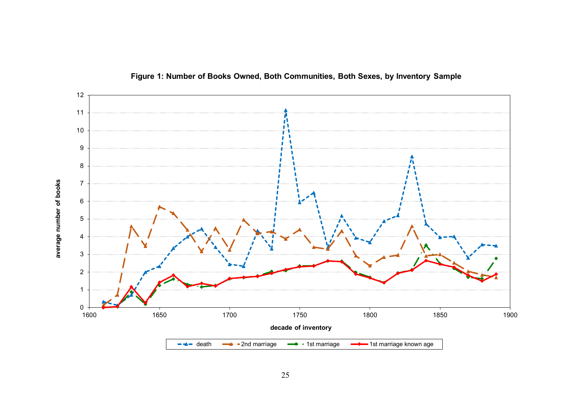

**Figure 1: Number of Books Owned, Both Communities, Both Sexes, by Inventory Sample**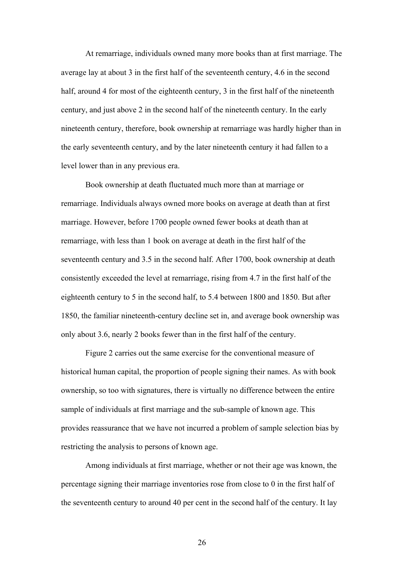At remarriage, individuals owned many more books than at first marriage. The average lay at about 3 in the first half of the seventeenth century, 4.6 in the second half, around 4 for most of the eighteenth century, 3 in the first half of the nineteenth century, and just above 2 in the second half of the nineteenth century. In the early nineteenth century, therefore, book ownership at remarriage was hardly higher than in the early seventeenth century, and by the later nineteenth century it had fallen to a level lower than in any previous era.

Book ownership at death fluctuated much more than at marriage or remarriage. Individuals always owned more books on average at death than at first marriage. However, before 1700 people owned fewer books at death than at remarriage, with less than 1 book on average at death in the first half of the seventeenth century and 3.5 in the second half. After 1700, book ownership at death consistently exceeded the level at remarriage, rising from 4.7 in the first half of the eighteenth century to 5 in the second half, to 5.4 between 1800 and 1850. But after 1850, the familiar nineteenth-century decline set in, and average book ownership was only about 3.6, nearly 2 books fewer than in the first half of the century.

Figure 2 carries out the same exercise for the conventional measure of historical human capital, the proportion of people signing their names. As with book ownership, so too with signatures, there is virtually no difference between the entire sample of individuals at first marriage and the sub-sample of known age. This provides reassurance that we have not incurred a problem of sample selection bias by restricting the analysis to persons of known age.

Among individuals at first marriage, whether or not their age was known, the percentage signing their marriage inventories rose from close to 0 in the first half of the seventeenth century to around 40 per cent in the second half of the century. It lay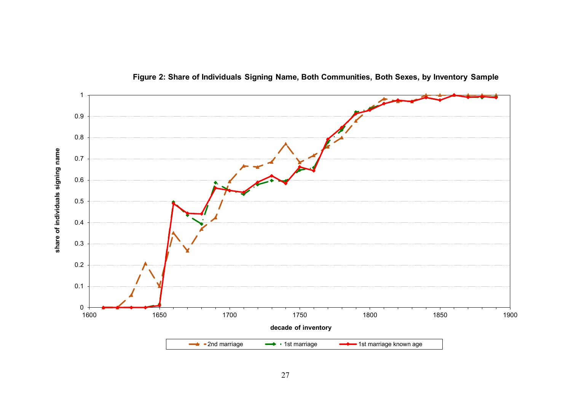

**Figure 2: Share of Individuals Signing Name, Both Communities, Both Sexes, by Inventory Sample**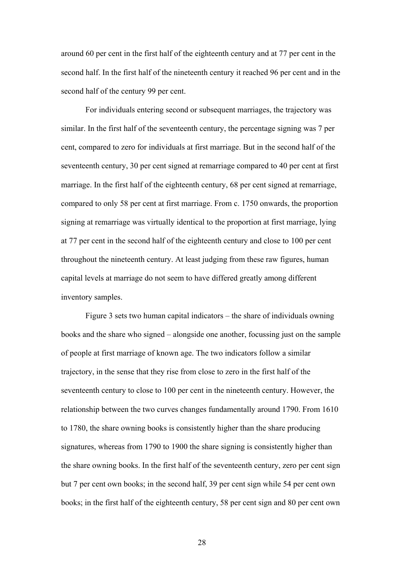around 60 per cent in the first half of the eighteenth century and at 77 per cent in the second half. In the first half of the nineteenth century it reached 96 per cent and in the second half of the century 99 per cent.

For individuals entering second or subsequent marriages, the trajectory was similar. In the first half of the seventeenth century, the percentage signing was 7 per cent, compared to zero for individuals at first marriage. But in the second half of the seventeenth century, 30 per cent signed at remarriage compared to 40 per cent at first marriage. In the first half of the eighteenth century, 68 per cent signed at remarriage, compared to only 58 per cent at first marriage. From c. 1750 onwards, the proportion signing at remarriage was virtually identical to the proportion at first marriage, lying at 77 per cent in the second half of the eighteenth century and close to 100 per cent throughout the nineteenth century. At least judging from these raw figures, human capital levels at marriage do not seem to have differed greatly among different inventory samples.

Figure 3 sets two human capital indicators – the share of individuals owning books and the share who signed – alongside one another, focussing just on the sample of people at first marriage of known age. The two indicators follow a similar trajectory, in the sense that they rise from close to zero in the first half of the seventeenth century to close to 100 per cent in the nineteenth century. However, the relationship between the two curves changes fundamentally around 1790. From 1610 to 1780, the share owning books is consistently higher than the share producing signatures, whereas from 1790 to 1900 the share signing is consistently higher than the share owning books. In the first half of the seventeenth century, zero per cent sign but 7 per cent own books; in the second half, 39 per cent sign while 54 per cent own books; in the first half of the eighteenth century, 58 per cent sign and 80 per cent own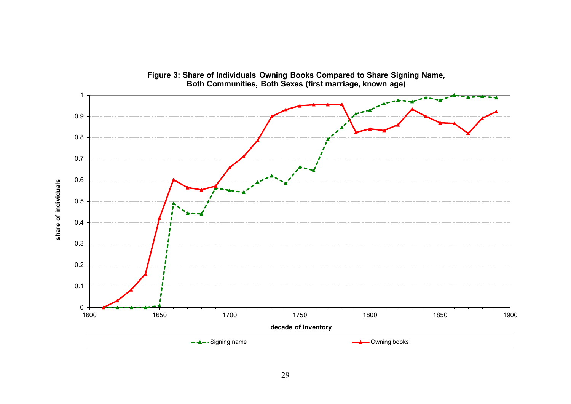

**Figure 3: Share of Individuals Owning Books Compared to Share Signing Name, Both Communities, Both Sexes (first marriage, known age)**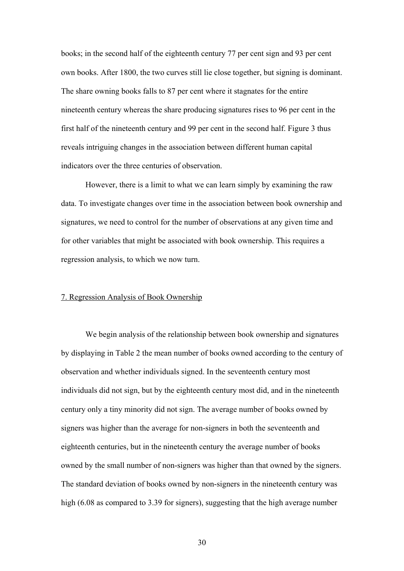books; in the second half of the eighteenth century 77 per cent sign and 93 per cent own books. After 1800, the two curves still lie close together, but signing is dominant. The share owning books falls to 87 per cent where it stagnates for the entire nineteenth century whereas the share producing signatures rises to 96 per cent in the first half of the nineteenth century and 99 per cent in the second half. Figure 3 thus reveals intriguing changes in the association between different human capital indicators over the three centuries of observation.

However, there is a limit to what we can learn simply by examining the raw data. To investigate changes over time in the association between book ownership and signatures, we need to control for the number of observations at any given time and for other variables that might be associated with book ownership. This requires a regression analysis, to which we now turn.

#### 7. Regression Analysis of Book Ownership

We begin analysis of the relationship between book ownership and signatures by displaying in Table 2 the mean number of books owned according to the century of observation and whether individuals signed. In the seventeenth century most individuals did not sign, but by the eighteenth century most did, and in the nineteenth century only a tiny minority did not sign. The average number of books owned by signers was higher than the average for non-signers in both the seventeenth and eighteenth centuries, but in the nineteenth century the average number of books owned by the small number of non-signers was higher than that owned by the signers. The standard deviation of books owned by non-signers in the nineteenth century was high (6.08 as compared to 3.39 for signers), suggesting that the high average number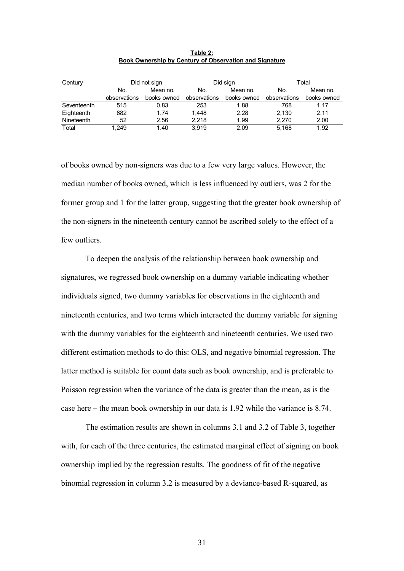| Century     | Did not sign |             |              | Did sign    | Total        |             |
|-------------|--------------|-------------|--------------|-------------|--------------|-------------|
|             | No.          | Mean no.    | No.          | Mean no.    | No.          | Mean no.    |
|             | observations | books owned | observations | books owned | observations | books owned |
| Seventeenth | 515          | 0.83        | 253          | 1.88        | 768          | 1.17        |
| Eighteenth  | 682          | 1.74        | 1.448        | 2.28        | 2.130        | 2.11        |
| Nineteenth  | 52           | 2.56        | 2.218        | 1.99        | 2.270        | 2.00        |
| Total       | 1.249        | 1.40        | 3.919        | 2.09        | 5.168        | 1.92        |

**Table 2: Book Ownership by Century of Observation and Signature**

of books owned by non-signers was due to a few very large values. However, the median number of books owned, which is less influenced by outliers, was 2 for the former group and 1 for the latter group, suggesting that the greater book ownership of the non-signers in the nineteenth century cannot be ascribed solely to the effect of a few outliers.

To deepen the analysis of the relationship between book ownership and signatures, we regressed book ownership on a dummy variable indicating whether individuals signed, two dummy variables for observations in the eighteenth and nineteenth centuries, and two terms which interacted the dummy variable for signing with the dummy variables for the eighteenth and nineteenth centuries. We used two different estimation methods to do this: OLS, and negative binomial regression. The latter method is suitable for count data such as book ownership, and is preferable to Poisson regression when the variance of the data is greater than the mean, as is the case here – the mean book ownership in our data is 1.92 while the variance is 8.74.

The estimation results are shown in columns 3.1 and 3.2 of Table 3, together with, for each of the three centuries, the estimated marginal effect of signing on book ownership implied by the regression results. The goodness of fit of the negative binomial regression in column 3.2 is measured by a deviance-based R-squared, as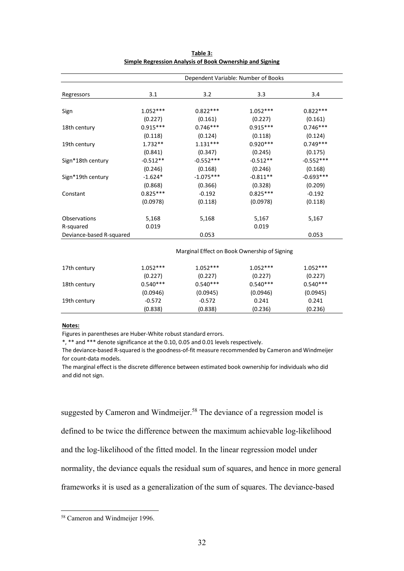|                          | Dependent Variable: Number of Books |             |            |             |  |  |
|--------------------------|-------------------------------------|-------------|------------|-------------|--|--|
| Regressors               | 3.1                                 | 3.2         | 3.3        | 3.4         |  |  |
| Sign                     | $1.052***$                          | $0.822***$  | $1.052***$ | $0.822***$  |  |  |
|                          | (0.227)                             | (0.161)     | (0.227)    | (0.161)     |  |  |
| 18th century             | $0.915***$                          | $0.746***$  | $0.915***$ | $0.746***$  |  |  |
|                          | (0.118)                             | (0.124)     | (0.118)    | (0.124)     |  |  |
| 19th century             | $1.732**$                           | $1.131***$  | $0.920***$ | $0.749***$  |  |  |
|                          | (0.841)                             | (0.347)     | (0.245)    | (0.175)     |  |  |
| Sign*18th century        | $-0.512**$                          | $-0.552***$ | $-0.512**$ | $-0.552***$ |  |  |
|                          | (0.246)                             | (0.168)     | (0.246)    | (0.168)     |  |  |
| Sign*19th century        | $-1.624*$                           | $-1.075***$ | $-0.811**$ | $-0.693***$ |  |  |
|                          | (0.868)                             | (0.366)     | (0.328)    | (0.209)     |  |  |
| Constant                 | $0.825***$                          | $-0.192$    | $0.825***$ | $-0.192$    |  |  |
|                          | (0.0978)                            | (0.118)     | (0.0978)   | (0.118)     |  |  |
| Observations             | 5,168                               | 5,168       | 5,167      | 5,167       |  |  |
| R-squared                | 0.019                               |             | 0.019      |             |  |  |
| Deviance-based R-squared |                                     | 0.053       |            | 0.053       |  |  |

| Table 3:                                                 |
|----------------------------------------------------------|
| Simple Regression Analysis of Book Ownership and Signing |

| 17th century | $1.052***$ | $1.052***$ | $1.052***$ | $1.052***$ |
|--------------|------------|------------|------------|------------|
|              | (0.227)    | (0.227)    | (0.227)    | (0.227)    |
| 18th century | $0.540***$ | $0.540***$ | $0.540***$ | $0.540***$ |
|              | (0.0946)   | (0.0945)   | (0.0946)   | (0.0945)   |
| 19th century | $-0.572$   | $-0.572$   | 0.241      | 0.241      |
|              | (0.838)    | (0.838)    | (0.236)    | (0.236)    |

#### **Notes:**

1

Figures in parentheses are Huber‐White robust standard errors.

\*, \*\* and \*\*\* denote significance at the 0.10, 0.05 and 0.01 levels respectively.

The deviance‐based R‐squared is the goodness‐of‐fit measure recommended by Cameron and Windmeijer for count‐data models.

The marginal effect is the discrete difference between estimated book ownership for individuals who did and did not sign.

suggested by Cameron and Windmeijer.<sup>58</sup> The deviance of a regression model is defined to be twice the difference between the maximum achievable log-likelihood and the log-likelihood of the fitted model. In the linear regression model under normality, the deviance equals the residual sum of squares, and hence in more general frameworks it is used as a generalization of the sum of squares. The deviance-based

<sup>58</sup> Cameron and Windmeijer 1996.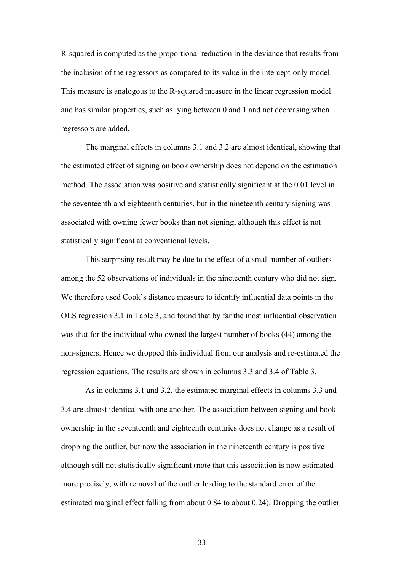R-squared is computed as the proportional reduction in the deviance that results from the inclusion of the regressors as compared to its value in the intercept-only model. This measure is analogous to the R-squared measure in the linear regression model and has similar properties, such as lying between 0 and 1 and not decreasing when regressors are added.

The marginal effects in columns 3.1 and 3.2 are almost identical, showing that the estimated effect of signing on book ownership does not depend on the estimation method. The association was positive and statistically significant at the 0.01 level in the seventeenth and eighteenth centuries, but in the nineteenth century signing was associated with owning fewer books than not signing, although this effect is not statistically significant at conventional levels.

This surprising result may be due to the effect of a small number of outliers among the 52 observations of individuals in the nineteenth century who did not sign. We therefore used Cook's distance measure to identify influential data points in the OLS regression 3.1 in Table 3, and found that by far the most influential observation was that for the individual who owned the largest number of books (44) among the non-signers. Hence we dropped this individual from our analysis and re-estimated the regression equations. The results are shown in columns 3.3 and 3.4 of Table 3.

As in columns 3.1 and 3.2, the estimated marginal effects in columns 3.3 and 3.4 are almost identical with one another. The association between signing and book ownership in the seventeenth and eighteenth centuries does not change as a result of dropping the outlier, but now the association in the nineteenth century is positive although still not statistically significant (note that this association is now estimated more precisely, with removal of the outlier leading to the standard error of the estimated marginal effect falling from about 0.84 to about 0.24). Dropping the outlier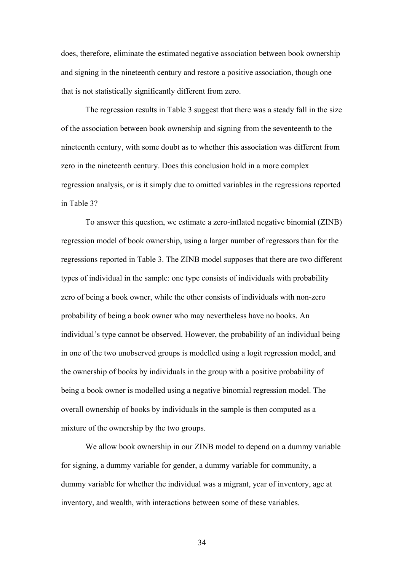does, therefore, eliminate the estimated negative association between book ownership and signing in the nineteenth century and restore a positive association, though one that is not statistically significantly different from zero.

The regression results in Table 3 suggest that there was a steady fall in the size of the association between book ownership and signing from the seventeenth to the nineteenth century, with some doubt as to whether this association was different from zero in the nineteenth century. Does this conclusion hold in a more complex regression analysis, or is it simply due to omitted variables in the regressions reported in Table 3?

To answer this question, we estimate a zero-inflated negative binomial (ZINB) regression model of book ownership, using a larger number of regressors than for the regressions reported in Table 3. The ZINB model supposes that there are two different types of individual in the sample: one type consists of individuals with probability zero of being a book owner, while the other consists of individuals with non-zero probability of being a book owner who may nevertheless have no books. An individual's type cannot be observed. However, the probability of an individual being in one of the two unobserved groups is modelled using a logit regression model, and the ownership of books by individuals in the group with a positive probability of being a book owner is modelled using a negative binomial regression model. The overall ownership of books by individuals in the sample is then computed as a mixture of the ownership by the two groups.

We allow book ownership in our ZINB model to depend on a dummy variable for signing, a dummy variable for gender, a dummy variable for community, a dummy variable for whether the individual was a migrant, year of inventory, age at inventory, and wealth, with interactions between some of these variables.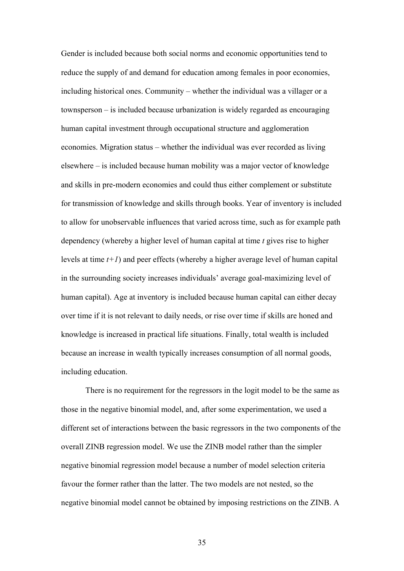Gender is included because both social norms and economic opportunities tend to reduce the supply of and demand for education among females in poor economies, including historical ones. Community – whether the individual was a villager or a townsperson – is included because urbanization is widely regarded as encouraging human capital investment through occupational structure and agglomeration economies. Migration status – whether the individual was ever recorded as living elsewhere – is included because human mobility was a major vector of knowledge and skills in pre-modern economies and could thus either complement or substitute for transmission of knowledge and skills through books. Year of inventory is included to allow for unobservable influences that varied across time, such as for example path dependency (whereby a higher level of human capital at time *t* gives rise to higher levels at time *t+1*) and peer effects (whereby a higher average level of human capital in the surrounding society increases individuals' average goal-maximizing level of human capital). Age at inventory is included because human capital can either decay over time if it is not relevant to daily needs, or rise over time if skills are honed and knowledge is increased in practical life situations. Finally, total wealth is included because an increase in wealth typically increases consumption of all normal goods, including education.

There is no requirement for the regressors in the logit model to be the same as those in the negative binomial model, and, after some experimentation, we used a different set of interactions between the basic regressors in the two components of the overall ZINB regression model. We use the ZINB model rather than the simpler negative binomial regression model because a number of model selection criteria favour the former rather than the latter. The two models are not nested, so the negative binomial model cannot be obtained by imposing restrictions on the ZINB. A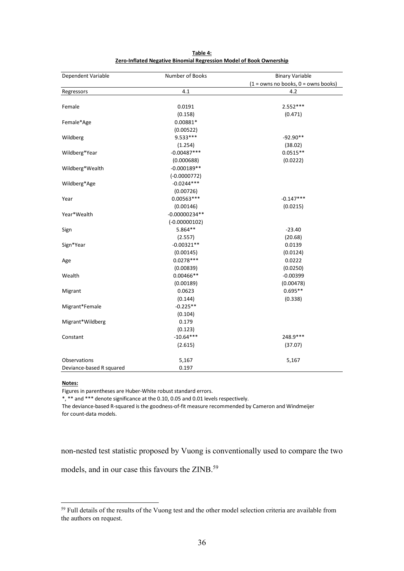| Dependent Variable       | Number of Books | <b>Binary Variable</b>                  |
|--------------------------|-----------------|-----------------------------------------|
|                          |                 | $(1 =$ owns no books, $0 =$ owns books) |
| Regressors               | 4.1             | 4.2                                     |
|                          |                 |                                         |
| Female                   | 0.0191          | $2.552***$                              |
|                          | (0.158)         | (0.471)                                 |
| Female*Age               | 0.00881*        |                                         |
|                          | (0.00522)       |                                         |
| Wildberg                 | $9.533***$      | $-92.90**$                              |
|                          | (1.254)         | (38.02)                                 |
| Wildberg*Year            | $-0.00487***$   | $0.0515**$                              |
|                          | (0.000688)      | (0.0222)                                |
| Wildberg*Wealth          | $-0.000189**$   |                                         |
|                          | $(-0.0000772)$  |                                         |
| Wildberg*Age             | $-0.0244***$    |                                         |
|                          | (0.00726)       |                                         |
| Year                     | 0.00563 ***     | $-0.147***$                             |
|                          | (0.00146)       | (0.0215)                                |
| Year*Wealth              | $-0.00000234**$ |                                         |
|                          | $(-0.00000102)$ |                                         |
| Sign                     | 5.864**         | $-23.40$                                |
|                          | (2.557)         | (20.68)                                 |
| Sign*Year                | $-0.00321**$    | 0.0139                                  |
|                          | (0.00145)       | (0.0124)                                |
| Age                      | $0.0278***$     | 0.0222                                  |
|                          | (0.00839)       | (0.0250)                                |
| Wealth                   | $0.00466**$     | $-0.00399$                              |
|                          | (0.00189)       | (0.00478)                               |
| Migrant                  | 0.0623          | $0.695**$                               |
|                          | (0.144)         | (0.338)                                 |
| Migrant*Female           | $-0.225**$      |                                         |
|                          | (0.104)         |                                         |
| Migrant*Wildberg         | 0.179           |                                         |
|                          | (0.123)         |                                         |
| Constant                 | $-10.64***$     | 248.9 ***                               |
|                          | (2.615)         | (37.07)                                 |
|                          |                 |                                         |
| Observations             | 5,167           | 5,167                                   |
| Deviance-based R squared | 0.197           |                                         |

**Table 4: Zero‐Inflated Negative Binomial Regression Model of Book Ownership**

## **Notes:**

<u>.</u>

Figures in parentheses are Huber‐White robust standard errors.

\*, \*\* and \*\*\* denote significance at the 0.10, 0.05 and 0.01 levels respectively.

The deviance‐based R‐squared is the goodness‐of‐fit measure recommended by Cameron and Windmeijer for count‐data models.

non-nested test statistic proposed by Vuong is conventionally used to compare the two

models, and in our case this favours the ZINB.59

<sup>&</sup>lt;sup>59</sup> Full details of the results of the Vuong test and the other model selection criteria are available from the authors on request.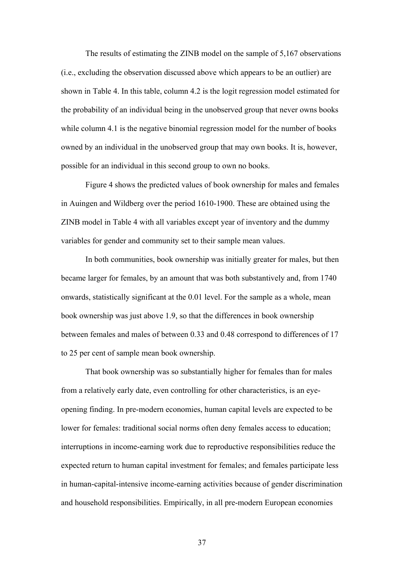The results of estimating the ZINB model on the sample of 5,167 observations (i.e., excluding the observation discussed above which appears to be an outlier) are shown in Table 4. In this table, column 4.2 is the logit regression model estimated for the probability of an individual being in the unobserved group that never owns books while column 4.1 is the negative binomial regression model for the number of books owned by an individual in the unobserved group that may own books. It is, however, possible for an individual in this second group to own no books.

Figure 4 shows the predicted values of book ownership for males and females in Auingen and Wildberg over the period 1610-1900. These are obtained using the ZINB model in Table 4 with all variables except year of inventory and the dummy variables for gender and community set to their sample mean values.

In both communities, book ownership was initially greater for males, but then became larger for females, by an amount that was both substantively and, from 1740 onwards, statistically significant at the 0.01 level. For the sample as a whole, mean book ownership was just above 1.9, so that the differences in book ownership between females and males of between 0.33 and 0.48 correspond to differences of 17 to 25 per cent of sample mean book ownership.

That book ownership was so substantially higher for females than for males from a relatively early date, even controlling for other characteristics, is an eyeopening finding. In pre-modern economies, human capital levels are expected to be lower for females: traditional social norms often deny females access to education; interruptions in income-earning work due to reproductive responsibilities reduce the expected return to human capital investment for females; and females participate less in human-capital-intensive income-earning activities because of gender discrimination and household responsibilities. Empirically, in all pre-modern European economies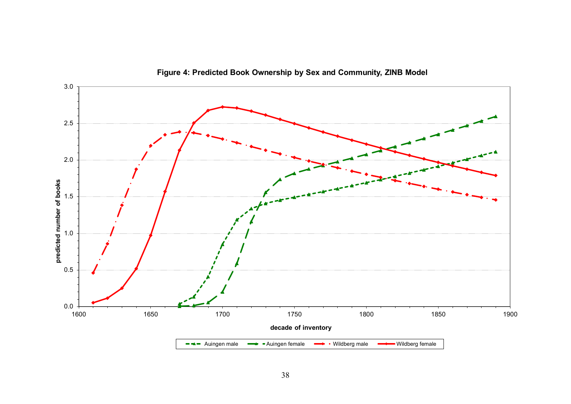

**Figure 4: Predicted Book Ownership by Sex and Community, ZINB Model**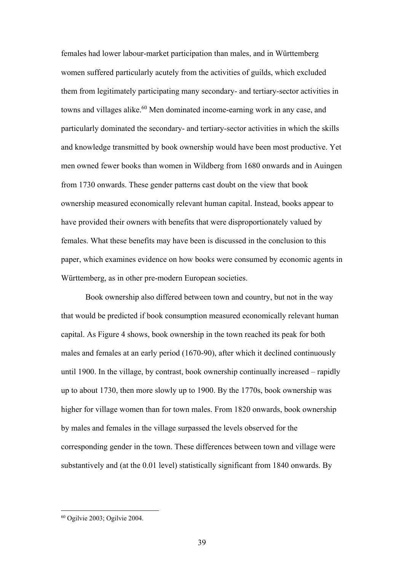females had lower labour-market participation than males, and in Württemberg women suffered particularly acutely from the activities of guilds, which excluded them from legitimately participating many secondary- and tertiary-sector activities in towns and villages alike.<sup>60</sup> Men dominated income-earning work in any case, and particularly dominated the secondary- and tertiary-sector activities in which the skills and knowledge transmitted by book ownership would have been most productive. Yet men owned fewer books than women in Wildberg from 1680 onwards and in Auingen from 1730 onwards. These gender patterns cast doubt on the view that book ownership measured economically relevant human capital. Instead, books appear to have provided their owners with benefits that were disproportionately valued by females. What these benefits may have been is discussed in the conclusion to this paper, which examines evidence on how books were consumed by economic agents in Württemberg, as in other pre-modern European societies.

Book ownership also differed between town and country, but not in the way that would be predicted if book consumption measured economically relevant human capital. As Figure 4 shows, book ownership in the town reached its peak for both males and females at an early period (1670-90), after which it declined continuously until 1900. In the village, by contrast, book ownership continually increased – rapidly up to about 1730, then more slowly up to 1900. By the 1770s, book ownership was higher for village women than for town males. From 1820 onwards, book ownership by males and females in the village surpassed the levels observed for the corresponding gender in the town. These differences between town and village were substantively and (at the 0.01 level) statistically significant from 1840 onwards. By

<sup>60</sup> Ogilvie 2003; Ogilvie 2004.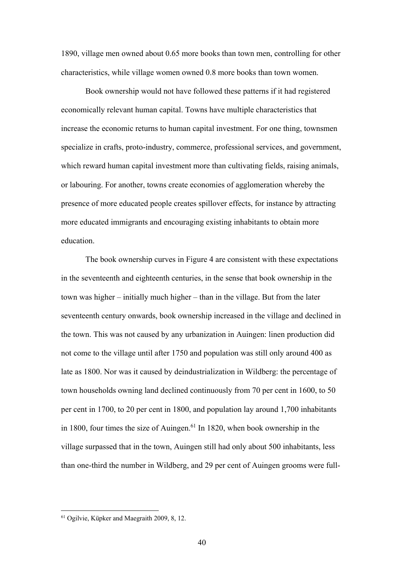1890, village men owned about 0.65 more books than town men, controlling for other characteristics, while village women owned 0.8 more books than town women.

Book ownership would not have followed these patterns if it had registered economically relevant human capital. Towns have multiple characteristics that increase the economic returns to human capital investment. For one thing, townsmen specialize in crafts, proto-industry, commerce, professional services, and government, which reward human capital investment more than cultivating fields, raising animals, or labouring. For another, towns create economies of agglomeration whereby the presence of more educated people creates spillover effects, for instance by attracting more educated immigrants and encouraging existing inhabitants to obtain more education.

The book ownership curves in Figure 4 are consistent with these expectations in the seventeenth and eighteenth centuries, in the sense that book ownership in the town was higher – initially much higher – than in the village. But from the later seventeenth century onwards, book ownership increased in the village and declined in the town. This was not caused by any urbanization in Auingen: linen production did not come to the village until after 1750 and population was still only around 400 as late as 1800. Nor was it caused by deindustrialization in Wildberg: the percentage of town households owning land declined continuously from 70 per cent in 1600, to 50 per cent in 1700, to 20 per cent in 1800, and population lay around 1,700 inhabitants in 1800, four times the size of Auingen.<sup>61</sup> In 1820, when book ownership in the village surpassed that in the town, Auingen still had only about 500 inhabitants, less than one-third the number in Wildberg, and 29 per cent of Auingen grooms were full-

<sup>61</sup> Ogilvie, Küpker and Maegraith 2009, 8, 12.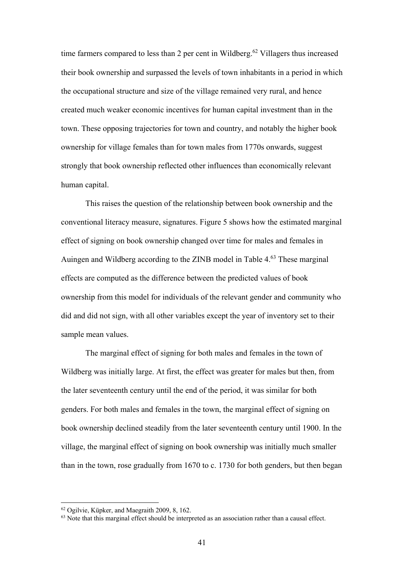time farmers compared to less than 2 per cent in Wildberg.<sup>62</sup> Villagers thus increased their book ownership and surpassed the levels of town inhabitants in a period in which the occupational structure and size of the village remained very rural, and hence created much weaker economic incentives for human capital investment than in the town. These opposing trajectories for town and country, and notably the higher book ownership for village females than for town males from 1770s onwards, suggest strongly that book ownership reflected other influences than economically relevant human capital.

This raises the question of the relationship between book ownership and the conventional literacy measure, signatures. Figure 5 shows how the estimated marginal effect of signing on book ownership changed over time for males and females in Auingen and Wildberg according to the ZINB model in Table 4.<sup>63</sup> These marginal effects are computed as the difference between the predicted values of book ownership from this model for individuals of the relevant gender and community who did and did not sign, with all other variables except the year of inventory set to their sample mean values.

The marginal effect of signing for both males and females in the town of Wildberg was initially large. At first, the effect was greater for males but then, from the later seventeenth century until the end of the period, it was similar for both genders. For both males and females in the town, the marginal effect of signing on book ownership declined steadily from the later seventeenth century until 1900. In the village, the marginal effect of signing on book ownership was initially much smaller than in the town, rose gradually from 1670 to c. 1730 for both genders, but then began

<sup>62</sup> Ogilvie, Küpker, and Maegraith 2009, 8, 162.

<sup>63</sup> Note that this marginal effect should be interpreted as an association rather than a causal effect.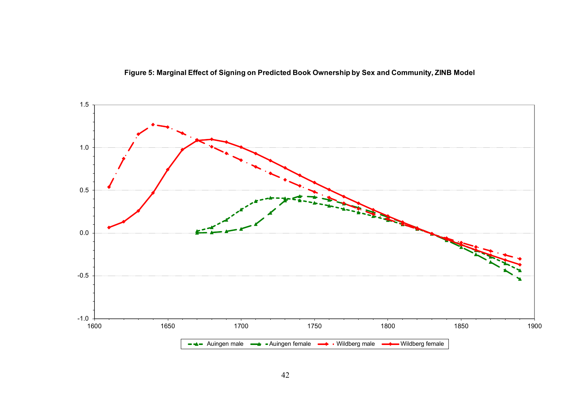

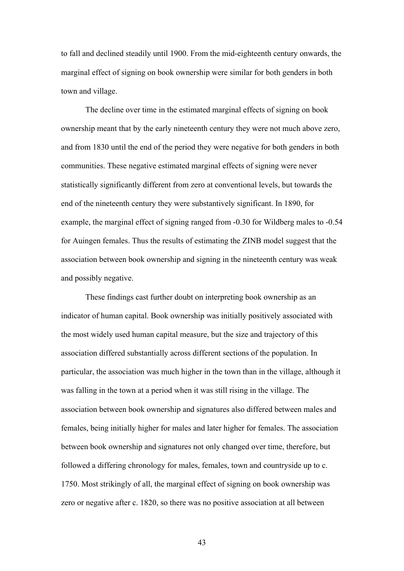to fall and declined steadily until 1900. From the mid-eighteenth century onwards, the marginal effect of signing on book ownership were similar for both genders in both town and village.

The decline over time in the estimated marginal effects of signing on book ownership meant that by the early nineteenth century they were not much above zero, and from 1830 until the end of the period they were negative for both genders in both communities. These negative estimated marginal effects of signing were never statistically significantly different from zero at conventional levels, but towards the end of the nineteenth century they were substantively significant. In 1890, for example, the marginal effect of signing ranged from -0.30 for Wildberg males to -0.54 for Auingen females. Thus the results of estimating the ZINB model suggest that the association between book ownership and signing in the nineteenth century was weak and possibly negative.

These findings cast further doubt on interpreting book ownership as an indicator of human capital. Book ownership was initially positively associated with the most widely used human capital measure, but the size and trajectory of this association differed substantially across different sections of the population. In particular, the association was much higher in the town than in the village, although it was falling in the town at a period when it was still rising in the village. The association between book ownership and signatures also differed between males and females, being initially higher for males and later higher for females. The association between book ownership and signatures not only changed over time, therefore, but followed a differing chronology for males, females, town and countryside up to c. 1750. Most strikingly of all, the marginal effect of signing on book ownership was zero or negative after c. 1820, so there was no positive association at all between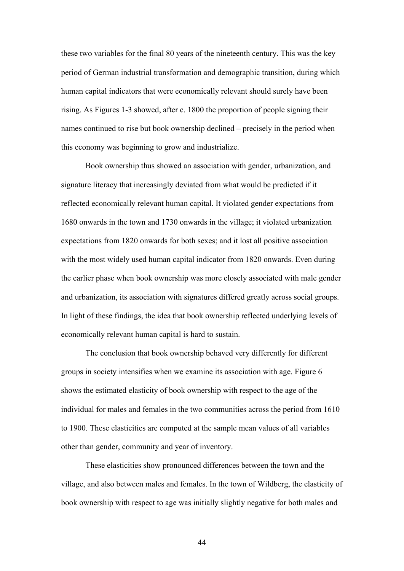these two variables for the final 80 years of the nineteenth century. This was the key period of German industrial transformation and demographic transition, during which human capital indicators that were economically relevant should surely have been rising. As Figures 1-3 showed, after c. 1800 the proportion of people signing their names continued to rise but book ownership declined – precisely in the period when this economy was beginning to grow and industrialize.

Book ownership thus showed an association with gender, urbanization, and signature literacy that increasingly deviated from what would be predicted if it reflected economically relevant human capital. It violated gender expectations from 1680 onwards in the town and 1730 onwards in the village; it violated urbanization expectations from 1820 onwards for both sexes; and it lost all positive association with the most widely used human capital indicator from 1820 onwards. Even during the earlier phase when book ownership was more closely associated with male gender and urbanization, its association with signatures differed greatly across social groups. In light of these findings, the idea that book ownership reflected underlying levels of economically relevant human capital is hard to sustain.

The conclusion that book ownership behaved very differently for different groups in society intensifies when we examine its association with age. Figure 6 shows the estimated elasticity of book ownership with respect to the age of the individual for males and females in the two communities across the period from 1610 to 1900. These elasticities are computed at the sample mean values of all variables other than gender, community and year of inventory.

These elasticities show pronounced differences between the town and the village, and also between males and females. In the town of Wildberg, the elasticity of book ownership with respect to age was initially slightly negative for both males and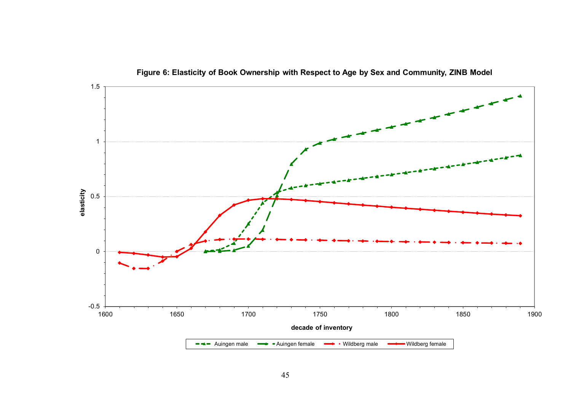

**Figure 6: Elasticity of Book Ownership with Respect to Age by Sex and Community, ZINB Model**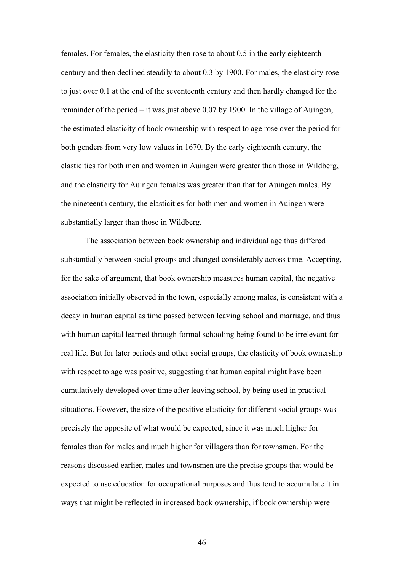females. For females, the elasticity then rose to about 0.5 in the early eighteenth century and then declined steadily to about 0.3 by 1900. For males, the elasticity rose to just over 0.1 at the end of the seventeenth century and then hardly changed for the remainder of the period – it was just above 0.07 by 1900. In the village of Auingen, the estimated elasticity of book ownership with respect to age rose over the period for both genders from very low values in 1670. By the early eighteenth century, the elasticities for both men and women in Auingen were greater than those in Wildberg, and the elasticity for Auingen females was greater than that for Auingen males. By the nineteenth century, the elasticities for both men and women in Auingen were substantially larger than those in Wildberg.

The association between book ownership and individual age thus differed substantially between social groups and changed considerably across time. Accepting, for the sake of argument, that book ownership measures human capital, the negative association initially observed in the town, especially among males, is consistent with a decay in human capital as time passed between leaving school and marriage, and thus with human capital learned through formal schooling being found to be irrelevant for real life. But for later periods and other social groups, the elasticity of book ownership with respect to age was positive, suggesting that human capital might have been cumulatively developed over time after leaving school, by being used in practical situations. However, the size of the positive elasticity for different social groups was precisely the opposite of what would be expected, since it was much higher for females than for males and much higher for villagers than for townsmen. For the reasons discussed earlier, males and townsmen are the precise groups that would be expected to use education for occupational purposes and thus tend to accumulate it in ways that might be reflected in increased book ownership, if book ownership were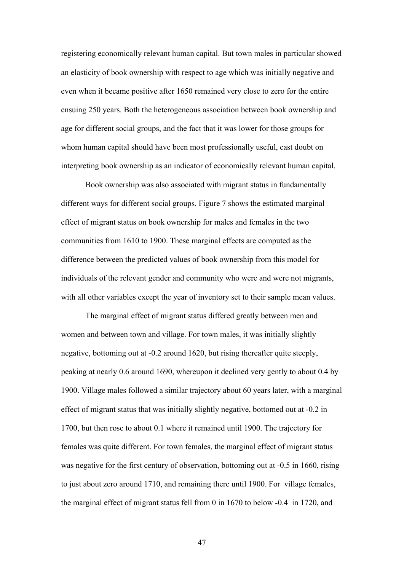registering economically relevant human capital. But town males in particular showed an elasticity of book ownership with respect to age which was initially negative and even when it became positive after 1650 remained very close to zero for the entire ensuing 250 years. Both the heterogeneous association between book ownership and age for different social groups, and the fact that it was lower for those groups for whom human capital should have been most professionally useful, cast doubt on interpreting book ownership as an indicator of economically relevant human capital.

Book ownership was also associated with migrant status in fundamentally different ways for different social groups. Figure 7 shows the estimated marginal effect of migrant status on book ownership for males and females in the two communities from 1610 to 1900. These marginal effects are computed as the difference between the predicted values of book ownership from this model for individuals of the relevant gender and community who were and were not migrants, with all other variables except the year of inventory set to their sample mean values.

The marginal effect of migrant status differed greatly between men and women and between town and village. For town males, it was initially slightly negative, bottoming out at -0.2 around 1620, but rising thereafter quite steeply, peaking at nearly 0.6 around 1690, whereupon it declined very gently to about 0.4 by 1900. Village males followed a similar trajectory about 60 years later, with a marginal effect of migrant status that was initially slightly negative, bottomed out at -0.2 in 1700, but then rose to about 0.1 where it remained until 1900. The trajectory for females was quite different. For town females, the marginal effect of migrant status was negative for the first century of observation, bottoming out at  $-0.5$  in 1660, rising to just about zero around 1710, and remaining there until 1900. For village females, the marginal effect of migrant status fell from 0 in 1670 to below -0.4 in 1720, and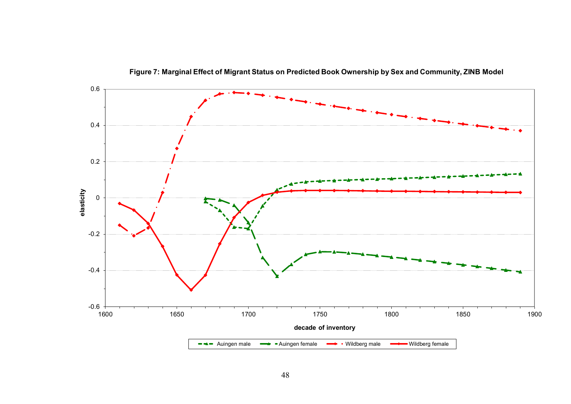

**Figure 7: Marginal Effect of Migrant Status on Predicted Book Ownership by Sex and Community, ZINB Model**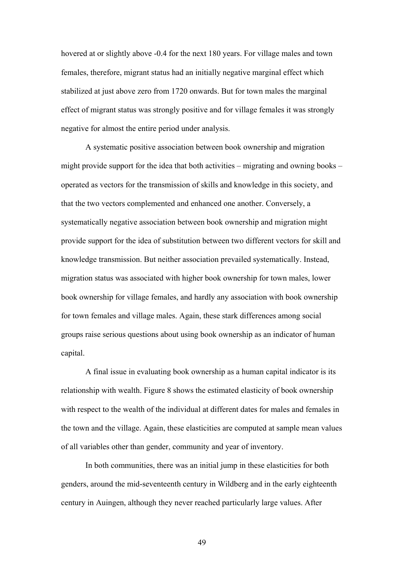hovered at or slightly above -0.4 for the next 180 years. For village males and town females, therefore, migrant status had an initially negative marginal effect which stabilized at just above zero from 1720 onwards. But for town males the marginal effect of migrant status was strongly positive and for village females it was strongly negative for almost the entire period under analysis.

A systematic positive association between book ownership and migration might provide support for the idea that both activities – migrating and owning books – operated as vectors for the transmission of skills and knowledge in this society, and that the two vectors complemented and enhanced one another. Conversely, a systematically negative association between book ownership and migration might provide support for the idea of substitution between two different vectors for skill and knowledge transmission. But neither association prevailed systematically. Instead, migration status was associated with higher book ownership for town males, lower book ownership for village females, and hardly any association with book ownership for town females and village males. Again, these stark differences among social groups raise serious questions about using book ownership as an indicator of human capital.

A final issue in evaluating book ownership as a human capital indicator is its relationship with wealth. Figure 8 shows the estimated elasticity of book ownership with respect to the wealth of the individual at different dates for males and females in the town and the village. Again, these elasticities are computed at sample mean values of all variables other than gender, community and year of inventory.

In both communities, there was an initial jump in these elasticities for both genders, around the mid-seventeenth century in Wildberg and in the early eighteenth century in Auingen, although they never reached particularly large values. After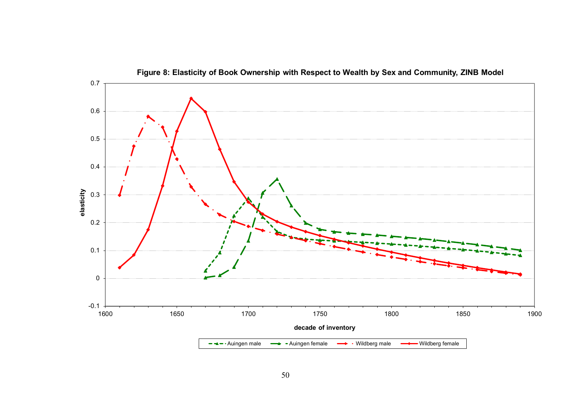

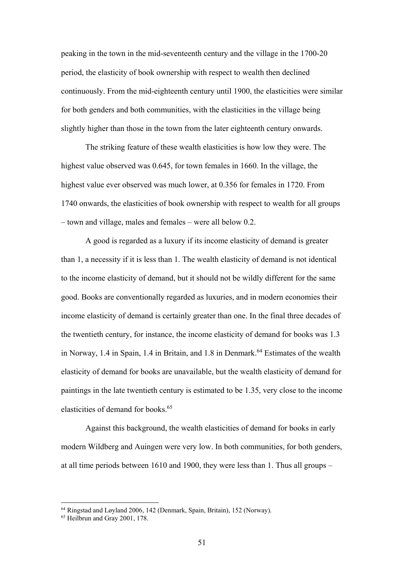peaking in the town in the mid-seventeenth century and the village in the 1700-20 period, the elasticity of book ownership with respect to wealth then declined continuously. From the mid-eighteenth century until 1900, the elasticities were similar for both genders and both communities, with the elasticities in the village being slightly higher than those in the town from the later eighteenth century onwards.

The striking feature of these wealth elasticities is how low they were. The highest value observed was 0.645, for town females in 1660. In the village, the highest value ever observed was much lower, at 0.356 for females in 1720. From 1740 onwards, the elasticities of book ownership with respect to wealth for all groups – town and village, males and females – were all below 0.2.

A good is regarded as a luxury if its income elasticity of demand is greater than 1, a necessity if it is less than 1. The wealth elasticity of demand is not identical to the income elasticity of demand, but it should not be wildly different for the same good. Books are conventionally regarded as luxuries, and in modern economies their income elasticity of demand is certainly greater than one. In the final three decades of the twentieth century, for instance, the income elasticity of demand for books was 1.3 in Norway, 1.4 in Spain, 1.4 in Britain, and 1.8 in Denmark.<sup>64</sup> Estimates of the wealth elasticity of demand for books are unavailable, but the wealth elasticity of demand for paintings in the late twentieth century is estimated to be 1.35, very close to the income elasticities of demand for books.<sup>65</sup>

Against this background, the wealth elasticities of demand for books in early modern Wildberg and Auingen were very low. In both communities, for both genders, at all time periods between 1610 and 1900, they were less than 1. Thus all groups –

<sup>64</sup> Ringstad and Løyland 2006, 142 (Denmark, Spain, Britain), 152 (Norway).

<sup>&</sup>lt;sup>65</sup> Heilbrun and Gray 2001, 178.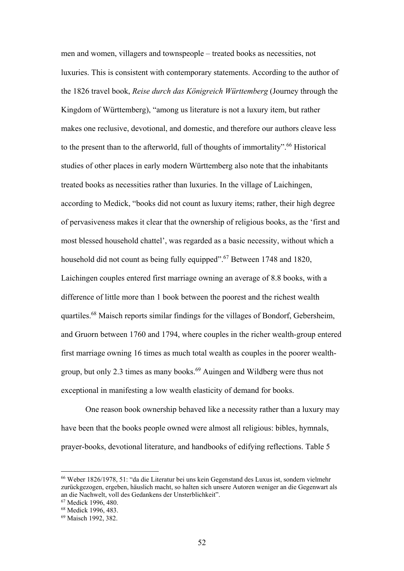men and women, villagers and townspeople – treated books as necessities, not luxuries. This is consistent with contemporary statements. According to the author of the 1826 travel book, *Reise durch das Königreich Württemberg* (Journey through the Kingdom of Württemberg), "among us literature is not a luxury item, but rather makes one reclusive, devotional, and domestic, and therefore our authors cleave less to the present than to the afterworld, full of thoughts of immortality".<sup>66</sup> Historical studies of other places in early modern Württemberg also note that the inhabitants treated books as necessities rather than luxuries. In the village of Laichingen, according to Medick, "books did not count as luxury items; rather, their high degree of pervasiveness makes it clear that the ownership of religious books, as the 'first and most blessed household chattel', was regarded as a basic necessity, without which a household did not count as being fully equipped".<sup>67</sup> Between 1748 and 1820, Laichingen couples entered first marriage owning an average of 8.8 books, with a difference of little more than 1 book between the poorest and the richest wealth quartiles.68 Maisch reports similar findings for the villages of Bondorf, Gebersheim, and Gruorn between 1760 and 1794, where couples in the richer wealth-group entered first marriage owning 16 times as much total wealth as couples in the poorer wealthgroup, but only 2.3 times as many books.<sup>69</sup> Auingen and Wildberg were thus not exceptional in manifesting a low wealth elasticity of demand for books.

One reason book ownership behaved like a necessity rather than a luxury may have been that the books people owned were almost all religious: bibles, hymnals, prayer-books, devotional literature, and handbooks of edifying reflections. Table 5

<sup>66</sup> Weber 1826/1978, 51: "da die Literatur bei uns kein Gegenstand des Luxus ist, sondern vielmehr zurückgezogen, ergeben, häuslich macht, so halten sich unsere Autoren weniger an die Gegenwart als an die Nachwelt, voll des Gedankens der Unsterblichkeit".

<sup>67</sup> Medick 1996, 480.

<sup>68</sup> Medick 1996, 483.

<sup>69</sup> Maisch 1992, 382.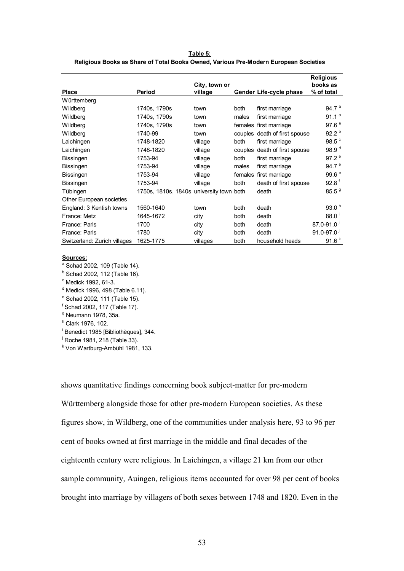| <b>Place</b>                 | Period                                   | City, town or<br>village |       | Gender Life-cycle phase       | <b>Religious</b><br>books as<br>% of total |
|------------------------------|------------------------------------------|--------------------------|-------|-------------------------------|--------------------------------------------|
| Württemberg                  |                                          |                          |       |                               |                                            |
| Wildberg                     | 1740s, 1790s                             | town                     | both  | first marriage                | 94.7 <sup>a</sup>                          |
| Wildberg                     | 1740s, 1790s                             | town                     | males | first marriage                | 91.1 <sup>a</sup>                          |
| Wildberg                     | 1740s, 1790s                             | town                     |       | females first marriage        | 97.6 <sup>a</sup>                          |
| Wildberg                     | 1740-99                                  | town                     |       | couples death of first spouse | 92.2 <sup>b</sup>                          |
| Laichingen                   | 1748-1820                                | village                  | both  | first marriage                | 98.5 <sup>c</sup>                          |
| Laichingen                   | 1748-1820                                | village                  |       | couples death of first spouse | 98.9 <sup>d</sup>                          |
| <b>Bissingen</b>             | 1753-94                                  | village                  | both  | first marriage                | 97.2 <sup>e</sup>                          |
| Bissingen                    | 1753-94                                  | village                  | males | first marriage                | 94.7 $e$                                   |
| Bissingen                    | 1753-94                                  | village                  |       | females first marriage        | 99.6 <sup>e</sup>                          |
| <b>Bissingen</b>             | 1753-94                                  | village                  | both  | death of first spouse         | 92.8 <sup>f</sup>                          |
| Tübingen                     | 1750s, 1810s, 1840s university town both |                          |       | death                         | 85.5 <sup>9</sup>                          |
| Other European societies     |                                          |                          |       |                               |                                            |
| England: 3 Kentish towns     | 1560-1640                                | town                     | both  | death                         | 93.0 <sup>h</sup>                          |
| France: Metz                 | 1645-1672                                | city                     | both  | death                         | $88.0^{1}$                                 |
| France: Paris                | 1700                                     | city                     | both  | death                         | $87.0 - 91.0$                              |
| France: Paris                | 1780                                     | city                     | both  | death                         | $91.0 - 97.0$                              |
| Switzerland: Zurich villages | 1625-1775                                | villages                 | both  | household heads               | 91.6 <sup>k</sup>                          |

**Table 5: Religious Books as Share of Total Books Owned, Various Pre-Modern European Societies**

## **Sources:**

<sup>a</sup> Schad 2002, 109 (Table 14).

 $<sup>b</sup>$  Schad 2002, 112 (Table 16).</sup>

 $\textdegree$  Medick 1992, 61-3.

<sup>d</sup> Medick 1996, 498 (Table 6.11).

<sup>e</sup> Schad 2002, 111 (Table 15).

f Schad 2002, 117 (Table 17).

<sup>g</sup> Neumann 1978, 35a.

h Clark 1976, 102.

i Benedict 1985 [Bibliothèques], 344.

<sup>j</sup> Roche 1981, 218 (Table 33).

k Von Wartburg-Ambühl 1981, 133.

shows quantitative findings concerning book subject-matter for pre-modern Württemberg alongside those for other pre-modern European societies. As these figures show, in Wildberg, one of the communities under analysis here, 93 to 96 per cent of books owned at first marriage in the middle and final decades of the eighteenth century were religious. In Laichingen, a village 21 km from our other sample community, Auingen, religious items accounted for over 98 per cent of books brought into marriage by villagers of both sexes between 1748 and 1820. Even in the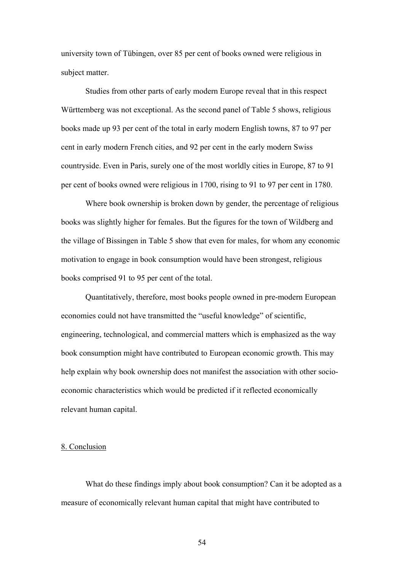university town of Tübingen, over 85 per cent of books owned were religious in subject matter.

Studies from other parts of early modern Europe reveal that in this respect Württemberg was not exceptional. As the second panel of Table 5 shows, religious books made up 93 per cent of the total in early modern English towns, 87 to 97 per cent in early modern French cities, and 92 per cent in the early modern Swiss countryside. Even in Paris, surely one of the most worldly cities in Europe, 87 to 91 per cent of books owned were religious in 1700, rising to 91 to 97 per cent in 1780.

Where book ownership is broken down by gender, the percentage of religious books was slightly higher for females. But the figures for the town of Wildberg and the village of Bissingen in Table 5 show that even for males, for whom any economic motivation to engage in book consumption would have been strongest, religious books comprised 91 to 95 per cent of the total.

Quantitatively, therefore, most books people owned in pre-modern European economies could not have transmitted the "useful knowledge" of scientific, engineering, technological, and commercial matters which is emphasized as the way book consumption might have contributed to European economic growth. This may help explain why book ownership does not manifest the association with other socioeconomic characteristics which would be predicted if it reflected economically relevant human capital.

## 8. Conclusion

What do these findings imply about book consumption? Can it be adopted as a measure of economically relevant human capital that might have contributed to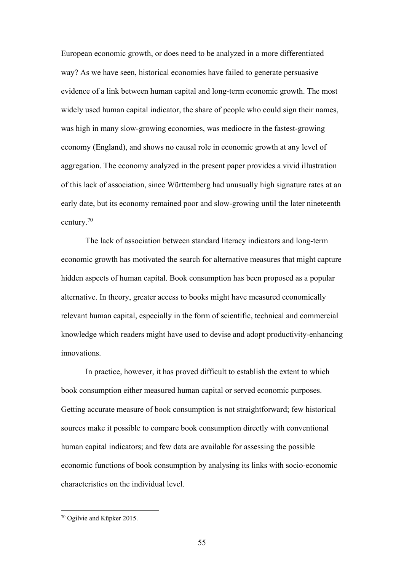European economic growth, or does need to be analyzed in a more differentiated way? As we have seen, historical economies have failed to generate persuasive evidence of a link between human capital and long-term economic growth. The most widely used human capital indicator, the share of people who could sign their names, was high in many slow-growing economies, was mediocre in the fastest-growing economy (England), and shows no causal role in economic growth at any level of aggregation. The economy analyzed in the present paper provides a vivid illustration of this lack of association, since Württemberg had unusually high signature rates at an early date, but its economy remained poor and slow-growing until the later nineteenth century.70

The lack of association between standard literacy indicators and long-term economic growth has motivated the search for alternative measures that might capture hidden aspects of human capital. Book consumption has been proposed as a popular alternative. In theory, greater access to books might have measured economically relevant human capital, especially in the form of scientific, technical and commercial knowledge which readers might have used to devise and adopt productivity-enhancing innovations.

In practice, however, it has proved difficult to establish the extent to which book consumption either measured human capital or served economic purposes. Getting accurate measure of book consumption is not straightforward; few historical sources make it possible to compare book consumption directly with conventional human capital indicators; and few data are available for assessing the possible economic functions of book consumption by analysing its links with socio-economic characteristics on the individual level.

<sup>70</sup> Ogilvie and Küpker 2015.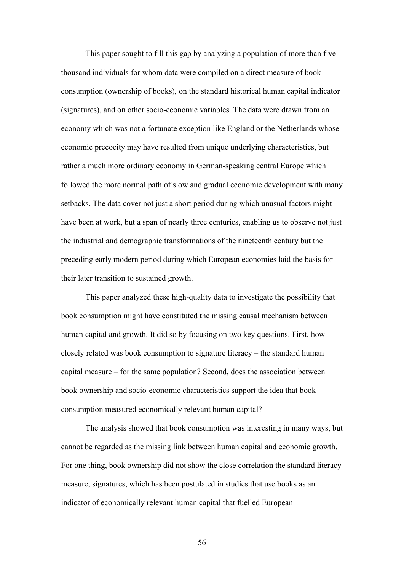This paper sought to fill this gap by analyzing a population of more than five thousand individuals for whom data were compiled on a direct measure of book consumption (ownership of books), on the standard historical human capital indicator (signatures), and on other socio-economic variables. The data were drawn from an economy which was not a fortunate exception like England or the Netherlands whose economic precocity may have resulted from unique underlying characteristics, but rather a much more ordinary economy in German-speaking central Europe which followed the more normal path of slow and gradual economic development with many setbacks. The data cover not just a short period during which unusual factors might have been at work, but a span of nearly three centuries, enabling us to observe not just the industrial and demographic transformations of the nineteenth century but the preceding early modern period during which European economies laid the basis for their later transition to sustained growth.

This paper analyzed these high-quality data to investigate the possibility that book consumption might have constituted the missing causal mechanism between human capital and growth. It did so by focusing on two key questions. First, how closely related was book consumption to signature literacy – the standard human capital measure – for the same population? Second, does the association between book ownership and socio-economic characteristics support the idea that book consumption measured economically relevant human capital?

The analysis showed that book consumption was interesting in many ways, but cannot be regarded as the missing link between human capital and economic growth. For one thing, book ownership did not show the close correlation the standard literacy measure, signatures, which has been postulated in studies that use books as an indicator of economically relevant human capital that fuelled European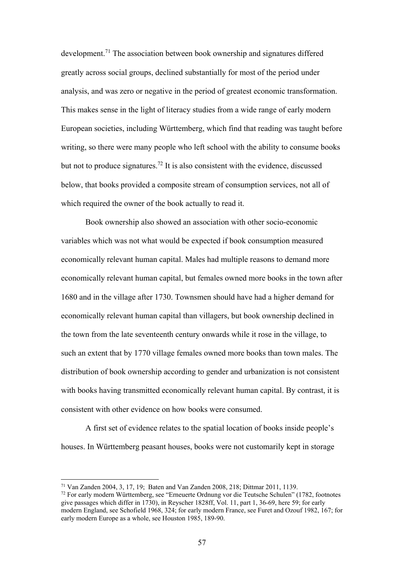development.<sup>71</sup> The association between book ownership and signatures differed greatly across social groups, declined substantially for most of the period under analysis, and was zero or negative in the period of greatest economic transformation. This makes sense in the light of literacy studies from a wide range of early modern European societies, including Württemberg, which find that reading was taught before writing, so there were many people who left school with the ability to consume books but not to produce signatures.<sup>72</sup> It is also consistent with the evidence, discussed below, that books provided a composite stream of consumption services, not all of which required the owner of the book actually to read it.

Book ownership also showed an association with other socio-economic variables which was not what would be expected if book consumption measured economically relevant human capital. Males had multiple reasons to demand more economically relevant human capital, but females owned more books in the town after 1680 and in the village after 1730. Townsmen should have had a higher demand for economically relevant human capital than villagers, but book ownership declined in the town from the late seventeenth century onwards while it rose in the village, to such an extent that by 1770 village females owned more books than town males. The distribution of book ownership according to gender and urbanization is not consistent with books having transmitted economically relevant human capital. By contrast, it is consistent with other evidence on how books were consumed.

A first set of evidence relates to the spatial location of books inside people's houses. In Württemberg peasant houses, books were not customarily kept in storage

<sup>71</sup> Van Zanden 2004, 3, 17, 19; Baten and Van Zanden 2008, 218; Dittmar 2011, 1139.

<sup>72</sup> For early modern Württemberg, see "Erneuerte Ordnung vor die Teutsche Schulen" (1782, footnotes give passages which differ in 1730), in Reyscher 1828ff, Vol. 11, part 1, 36-69, here 59; for early modern England, see Schofield 1968, 324; for early modern France, see Furet and Ozouf 1982, 167; for early modern Europe as a whole, see Houston 1985, 189-90.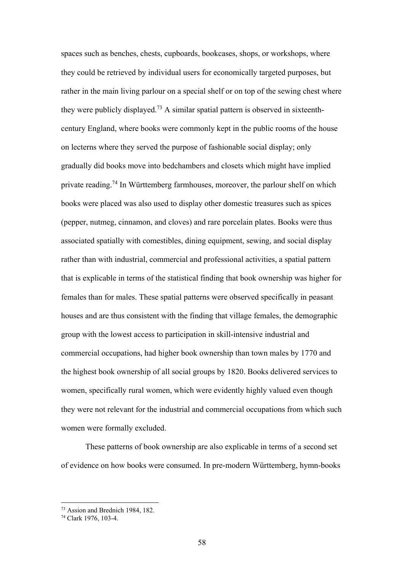spaces such as benches, chests, cupboards, bookcases, shops, or workshops, where they could be retrieved by individual users for economically targeted purposes, but rather in the main living parlour on a special shelf or on top of the sewing chest where they were publicly displayed.<sup>73</sup> A similar spatial pattern is observed in sixteenthcentury England, where books were commonly kept in the public rooms of the house on lecterns where they served the purpose of fashionable social display; only gradually did books move into bedchambers and closets which might have implied private reading.<sup>74</sup> In Württemberg farmhouses, moreover, the parlour shelf on which books were placed was also used to display other domestic treasures such as spices (pepper, nutmeg, cinnamon, and cloves) and rare porcelain plates. Books were thus associated spatially with comestibles, dining equipment, sewing, and social display rather than with industrial, commercial and professional activities, a spatial pattern that is explicable in terms of the statistical finding that book ownership was higher for females than for males. These spatial patterns were observed specifically in peasant houses and are thus consistent with the finding that village females, the demographic group with the lowest access to participation in skill-intensive industrial and commercial occupations, had higher book ownership than town males by 1770 and the highest book ownership of all social groups by 1820. Books delivered services to women, specifically rural women, which were evidently highly valued even though they were not relevant for the industrial and commercial occupations from which such women were formally excluded.

These patterns of book ownership are also explicable in terms of a second set of evidence on how books were consumed. In pre-modern Württemberg, hymn-books

<sup>73</sup> Assion and Brednich 1984, 182.

<sup>74</sup> Clark 1976, 103-4.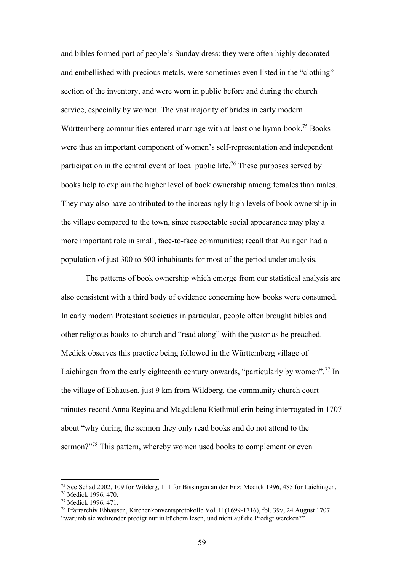and bibles formed part of people's Sunday dress: they were often highly decorated and embellished with precious metals, were sometimes even listed in the "clothing" section of the inventory, and were worn in public before and during the church service, especially by women. The vast majority of brides in early modern Württemberg communities entered marriage with at least one hymn-book.<sup>75</sup> Books were thus an important component of women's self-representation and independent participation in the central event of local public life.<sup>76</sup> These purposes served by books help to explain the higher level of book ownership among females than males. They may also have contributed to the increasingly high levels of book ownership in the village compared to the town, since respectable social appearance may play a more important role in small, face-to-face communities; recall that Auingen had a population of just 300 to 500 inhabitants for most of the period under analysis.

The patterns of book ownership which emerge from our statistical analysis are also consistent with a third body of evidence concerning how books were consumed. In early modern Protestant societies in particular, people often brought bibles and other religious books to church and "read along" with the pastor as he preached. Medick observes this practice being followed in the Württemberg village of Laichingen from the early eighteenth century onwards, "particularly by women".<sup>77</sup> In the village of Ebhausen, just 9 km from Wildberg, the community church court minutes record Anna Regina and Magdalena Riethmüllerin being interrogated in 1707 about "why during the sermon they only read books and do not attend to the sermon?"<sup>78</sup> This pattern, whereby women used books to complement or even

<sup>75</sup> See Schad 2002, 109 for Wilderg, 111 for Bissingen an der Enz; Medick 1996, 485 for Laichingen.

<sup>76</sup> Medick 1996, 470.

<sup>77</sup> Medick 1996, 471.

<sup>78</sup> Pfarrarchiv Ebhausen, Kirchenkonventsprotokolle Vol. II (1699-1716), fol. 39v, 24 August 1707:

<sup>&</sup>quot;warumb sie wehrender predigt nur in büchern lesen, und nicht auf die Predigt wercken?"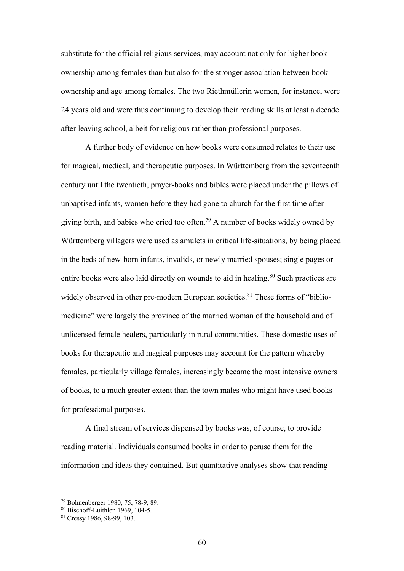substitute for the official religious services, may account not only for higher book ownership among females than but also for the stronger association between book ownership and age among females. The two Riethmüllerin women, for instance, were 24 years old and were thus continuing to develop their reading skills at least a decade after leaving school, albeit for religious rather than professional purposes.

A further body of evidence on how books were consumed relates to their use for magical, medical, and therapeutic purposes. In Württemberg from the seventeenth century until the twentieth, prayer-books and bibles were placed under the pillows of unbaptised infants, women before they had gone to church for the first time after giving birth, and babies who cried too often.<sup>79</sup> A number of books widely owned by Württemberg villagers were used as amulets in critical life-situations, by being placed in the beds of new-born infants, invalids, or newly married spouses; single pages or entire books were also laid directly on wounds to aid in healing.<sup>80</sup> Such practices are widely observed in other pre-modern European societies.<sup>81</sup> These forms of "bibliomedicine" were largely the province of the married woman of the household and of unlicensed female healers, particularly in rural communities. These domestic uses of books for therapeutic and magical purposes may account for the pattern whereby females, particularly village females, increasingly became the most intensive owners of books, to a much greater extent than the town males who might have used books for professional purposes.

A final stream of services dispensed by books was, of course, to provide reading material. Individuals consumed books in order to peruse them for the information and ideas they contained. But quantitative analyses show that reading

<sup>79</sup> Bohnenberger 1980, 75, 78-9, 89.

 $80$  Bischoff-Luithlen 1969, 104-5.

<sup>81</sup> Cressy 1986, 98-99, 103.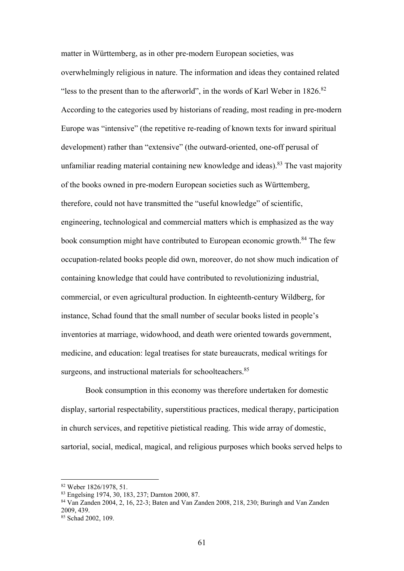matter in Württemberg, as in other pre-modern European societies, was overwhelmingly religious in nature. The information and ideas they contained related "less to the present than to the afterworld", in the words of Karl Weber in  $1826$ .<sup>82</sup> According to the categories used by historians of reading, most reading in pre-modern Europe was "intensive" (the repetitive re-reading of known texts for inward spiritual development) rather than "extensive" (the outward-oriented, one-off perusal of unfamiliar reading material containing new knowledge and ideas). 83 The vast majority of the books owned in pre-modern European societies such as Württemberg, therefore, could not have transmitted the "useful knowledge" of scientific, engineering, technological and commercial matters which is emphasized as the way book consumption might have contributed to European economic growth.<sup>84</sup> The few occupation-related books people did own, moreover, do not show much indication of containing knowledge that could have contributed to revolutionizing industrial, commercial, or even agricultural production. In eighteenth-century Wildberg, for instance, Schad found that the small number of secular books listed in people's inventories at marriage, widowhood, and death were oriented towards government, medicine, and education: legal treatises for state bureaucrats, medical writings for surgeons, and instructional materials for schoolteachers.<sup>85</sup>

Book consumption in this economy was therefore undertaken for domestic display, sartorial respectability, superstitious practices, medical therapy, participation in church services, and repetitive pietistical reading. This wide array of domestic, sartorial, social, medical, magical, and religious purposes which books served helps to

<sup>82</sup> Weber 1826/1978, 51.

<sup>83</sup> Engelsing 1974, 30, 183, 237; Darnton 2000, 87.

<sup>84</sup> Van Zanden 2004, 2, 16, 22-3; Baten and Van Zanden 2008, 218, 230; Buringh and Van Zanden 2009, 439.

<sup>85</sup> Schad 2002, 109.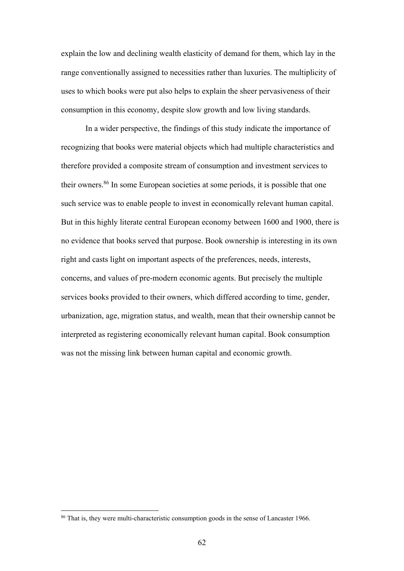explain the low and declining wealth elasticity of demand for them, which lay in the range conventionally assigned to necessities rather than luxuries. The multiplicity of uses to which books were put also helps to explain the sheer pervasiveness of their consumption in this economy, despite slow growth and low living standards.

In a wider perspective, the findings of this study indicate the importance of recognizing that books were material objects which had multiple characteristics and therefore provided a composite stream of consumption and investment services to their owners.86 In some European societies at some periods, it is possible that one such service was to enable people to invest in economically relevant human capital. But in this highly literate central European economy between 1600 and 1900, there is no evidence that books served that purpose. Book ownership is interesting in its own right and casts light on important aspects of the preferences, needs, interests, concerns, and values of pre-modern economic agents. But precisely the multiple services books provided to their owners, which differed according to time, gender, urbanization, age, migration status, and wealth, mean that their ownership cannot be interpreted as registering economically relevant human capital. Book consumption was not the missing link between human capital and economic growth.

<sup>&</sup>lt;sup>86</sup> That is, they were multi-characteristic consumption goods in the sense of Lancaster 1966.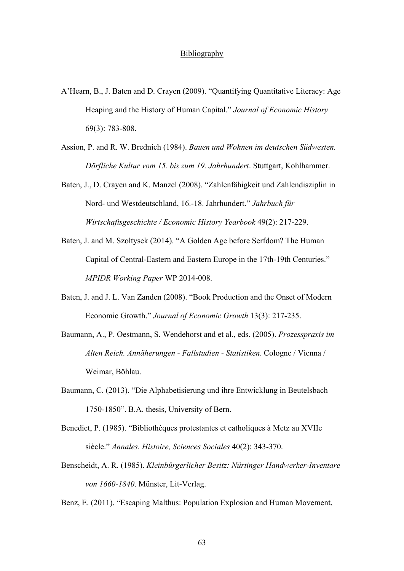## **Bibliography**

- A'Hearn, B., J. Baten and D. Crayen (2009). "Quantifying Quantitative Literacy: Age Heaping and the History of Human Capital." *Journal of Economic History* 69(3): 783-808.
- Assion, P. and R. W. Brednich (1984). *Bauen und Wohnen im deutschen Südwesten. Dörfliche Kultur vom 15. bis zum 19. Jahrhundert*. Stuttgart, Kohlhammer.
- Baten, J., D. Crayen and K. Manzel (2008). "Zahlenfähigkeit und Zahlendisziplin in Nord- und Westdeutschland, 16.-18. Jahrhundert." *Jahrbuch für Wirtschaftsgeschichte / Economic History Yearbook* 49(2): 217-229.
- Baten, J. and M. Szołtysek (2014). "A Golden Age before Serfdom? The Human Capital of Central-Eastern and Eastern Europe in the 17th-19th Centuries." *MPIDR Working Paper* WP 2014-008.
- Baten, J. and J. L. Van Zanden (2008). "Book Production and the Onset of Modern Economic Growth." *Journal of Economic Growth* 13(3): 217-235.
- Baumann, A., P. Oestmann, S. Wendehorst and et al., eds. (2005). *Prozesspraxis im Alten Reich. Annäherungen - Fallstudien - Statistiken*. Cologne / Vienna / Weimar, Böhlau.
- Baumann, C. (2013). "Die Alphabetisierung und ihre Entwicklung in Beutelsbach 1750-1850". B.A. thesis, University of Bern.
- Benedict, P. (1985). "Bibliothèques protestantes et catholiques à Metz au XVIIe siècle." *Annales. Histoire, Sciences Sociales* 40(2): 343-370.
- Benscheidt, A. R. (1985). *Kleinbürgerlicher Besitz: Nürtinger Handwerker-Inventare von 1660-1840*. Münster, Lit-Verlag.
- Benz, E. (2011). "Escaping Malthus: Population Explosion and Human Movement,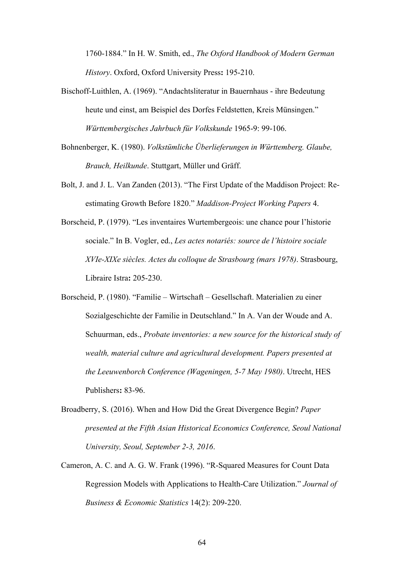1760-1884." In H. W. Smith, ed., *The Oxford Handbook of Modern German History*. Oxford, Oxford University Press**:** 195-210.

- Bischoff-Luithlen, A. (1969). "Andachtsliteratur in Bauernhaus ihre Bedeutung heute und einst, am Beispiel des Dorfes Feldstetten, Kreis Münsingen." *Württembergisches Jahrbuch für Volkskunde* 1965-9: 99-106.
- Bohnenberger, K. (1980). *Volkstümliche Überlieferungen in Württemberg. Glaube, Brauch, Heilkunde*. Stuttgart, Müller und Gräff.
- Bolt, J. and J. L. Van Zanden (2013). "The First Update of the Maddison Project: Reestimating Growth Before 1820." *Maddison-Project Working Papers* 4.
- Borscheid, P. (1979). "Les inventaires Wurtembergeois: une chance pour l'historie sociale." In B. Vogler, ed., *Les actes notariés: source de l'histoire sociale XVIe-XIXe siècles. Actes du colloque de Strasbourg (mars 1978)*. Strasbourg, Libraire Istra**:** 205-230.

Borscheid, P. (1980). "Familie – Wirtschaft – Gesellschaft. Materialien zu einer Sozialgeschichte der Familie in Deutschland." In A. Van der Woude and A. Schuurman, eds., *Probate inventories: a new source for the historical study of wealth, material culture and agricultural development. Papers presented at the Leeuwenborch Conference (Wageningen, 5-7 May 1980)*. Utrecht, HES Publishers**:** 83-96.

- Broadberry, S. (2016). When and How Did the Great Divergence Begin? *Paper presented at the Fifth Asian Historical Economics Conference, Seoul National University, Seoul, September 2-3, 2016*.
- Cameron, A. C. and A. G. W. Frank (1996). "R-Squared Measures for Count Data Regression Models with Applications to Health-Care Utilization." *Journal of Business & Economic Statistics* 14(2): 209-220.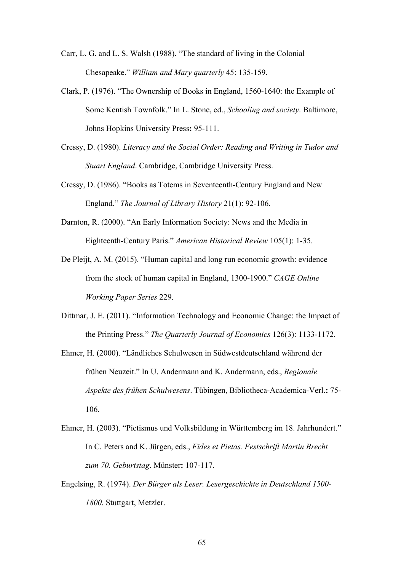- Carr, L. G. and L. S. Walsh (1988). "The standard of living in the Colonial Chesapeake." *William and Mary quarterly* 45: 135-159.
- Clark, P. (1976). "The Ownership of Books in England, 1560-1640: the Example of Some Kentish Townfolk." In L. Stone, ed., *Schooling and society*. Baltimore, Johns Hopkins University Press**:** 95-111.
- Cressy, D. (1980). *Literacy and the Social Order: Reading and Writing in Tudor and Stuart England*. Cambridge, Cambridge University Press.
- Cressy, D. (1986). "Books as Totems in Seventeenth-Century England and New England." *The Journal of Library History* 21(1): 92-106.
- Darnton, R. (2000). "An Early Information Society: News and the Media in Eighteenth-Century Paris." *American Historical Review* 105(1): 1-35.
- De Pleijt, A. M. (2015). "Human capital and long run economic growth: evidence from the stock of human capital in England, 1300-1900." *CAGE Online Working Paper Series* 229.
- Dittmar, J. E. (2011). "Information Technology and Economic Change: the Impact of the Printing Press." *The Quarterly Journal of Economics* 126(3): 1133-1172.
- Ehmer, H. (2000). "Ländliches Schulwesen in Südwestdeutschland während der frühen Neuzeit." In U. Andermann and K. Andermann, eds., *Regionale Aspekte des frühen Schulwesens*. Tübingen, Bibliotheca-Academica-Verl.**:** 75- 106.
- Ehmer, H. (2003). "Pietismus und Volksbildung in Württemberg im 18. Jahrhundert." In C. Peters and K. Jürgen, eds., *Fides et Pietas. Festschrift Martin Brecht zum 70. Geburtstag*. Münster**:** 107-117.
- Engelsing, R. (1974). *Der Bürger als Leser. Lesergeschichte in Deutschland 1500- 1800*. Stuttgart, Metzler.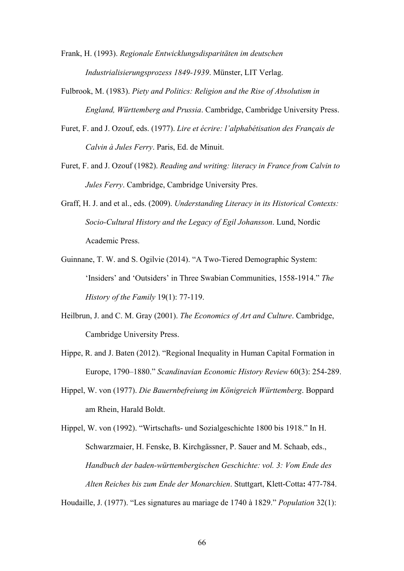Frank, H. (1993). *Regionale Entwicklungsdisparitäten im deutschen Industrialisierungsprozess 1849-1939*. Münster, LIT Verlag.

- Fulbrook, M. (1983). *Piety and Politics: Religion and the Rise of Absolutism in England, Württemberg and Prussia*. Cambridge, Cambridge University Press.
- Furet, F. and J. Ozouf, eds. (1977). *Lire et écrire: l'alphabétisation des Français de Calvin à Jules Ferry*. Paris, Ed. de Minuit.
- Furet, F. and J. Ozouf (1982). *Reading and writing: literacy in France from Calvin to Jules Ferry*. Cambridge, Cambridge University Pres.
- Graff, H. J. and et al., eds. (2009). *Understanding Literacy in its Historical Contexts: Socio-Cultural History and the Legacy of Egil Johansson*. Lund, Nordic Academic Press.
- Guinnane, T. W. and S. Ogilvie (2014). "A Two-Tiered Demographic System: 'Insiders' and 'Outsiders' in Three Swabian Communities, 1558-1914." *The History of the Family* 19(1): 77-119.
- Heilbrun, J. and C. M. Gray (2001). *The Economics of Art and Culture*. Cambridge, Cambridge University Press.
- Hippe, R. and J. Baten (2012). "Regional Inequality in Human Capital Formation in Europe, 1790–1880." *Scandinavian Economic History Review* 60(3): 254-289.
- Hippel, W. von (1977). *Die Bauernbefreiung im Königreich Württemberg*. Boppard am Rhein, Harald Boldt.

Hippel, W. von (1992). "Wirtschafts- und Sozialgeschichte 1800 bis 1918." In H. Schwarzmaier, H. Fenske, B. Kirchgässner, P. Sauer and M. Schaab, eds., *Handbuch der baden-württembergischen Geschichte: vol. 3: Vom Ende des Alten Reiches bis zum Ende der Monarchien*. Stuttgart, Klett-Cotta**:** 477-784.

Houdaille, J. (1977). "Les signatures au mariage de 1740 à 1829." *Population* 32(1):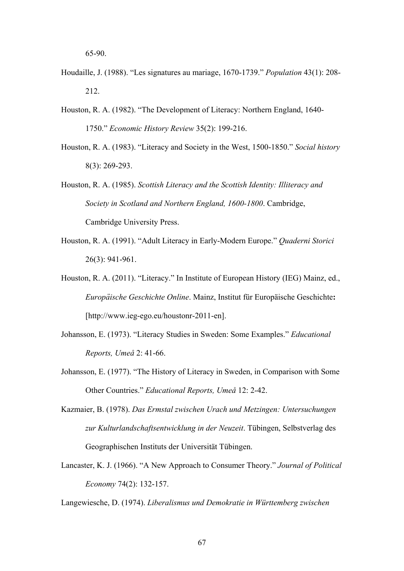- Houdaille, J. (1988). "Les signatures au mariage, 1670-1739." *Population* 43(1): 208- 212.
- Houston, R. A. (1982). "The Development of Literacy: Northern England, 1640- 1750." *Economic History Review* 35(2): 199-216.
- Houston, R. A. (1983). "Literacy and Society in the West, 1500-1850." *Social history* 8(3): 269-293.
- Houston, R. A. (1985). *Scottish Literacy and the Scottish Identity: Illiteracy and Society in Scotland and Northern England, 1600-1800*. Cambridge, Cambridge University Press.
- Houston, R. A. (1991). "Adult Literacy in Early-Modern Europe." *Quaderni Storici* 26(3): 941-961.
- Houston, R. A. (2011). "Literacy." In Institute of European History (IEG) Mainz, ed., *Europäische Geschichte Online*. Mainz, Institut für Europäische Geschichte**:**  [http://www.ieg-ego.eu/houstonr-2011-en].
- Johansson, E. (1973). "Literacy Studies in Sweden: Some Examples." *Educational Reports, Umeå* 2: 41-66.
- Johansson, E. (1977). "The History of Literacy in Sweden, in Comparison with Some Other Countries." *Educational Reports, Umeå* 12: 2-42.
- Kazmaier, B. (1978). *Das Ermstal zwischen Urach und Metzingen: Untersuchungen zur Kulturlandschaftsentwicklung in der Neuzeit*. Tübingen, Selbstverlag des Geographischen Instituts der Universität Tübingen.
- Lancaster, K. J. (1966). "A New Approach to Consumer Theory." *Journal of Political Economy* 74(2): 132-157.

Langewiesche, D. (1974). *Liberalismus und Demokratie in Württemberg zwischen*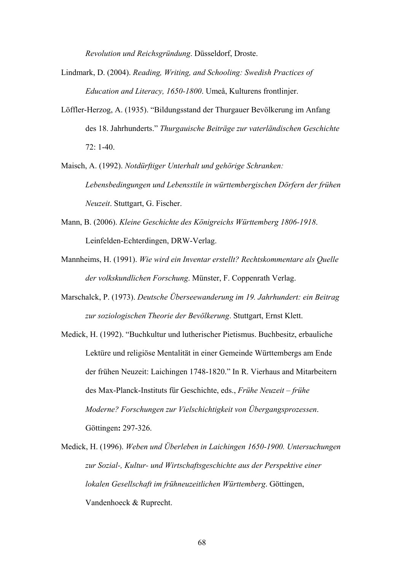*Revolution und Reichsgründung*. Düsseldorf, Droste.

- Lindmark, D. (2004). *Reading, Writing, and Schooling: Swedish Practices of Education and Literacy, 1650-1800*. Umeå, Kulturens frontlinjer.
- Löffler-Herzog, A. (1935). "Bildungsstand der Thurgauer Bevölkerung im Anfang des 18. Jahrhunderts." *Thurgauische Beiträge zur vaterländischen Geschichte* 72: 1-40.
- Maisch, A. (1992). *Notdürftiger Unterhalt und gehörige Schranken: Lebensbedingungen und Lebensstile in württembergischen Dörfern der frühen Neuzeit*. Stuttgart, G. Fischer.
- Mann, B. (2006). *Kleine Geschichte des Königreichs Württemberg 1806-1918*. Leinfelden-Echterdingen, DRW-Verlag.
- Mannheims, H. (1991). *Wie wird ein Inventar erstellt? Rechtskommentare als Quelle der volkskundlichen Forschung*. Münster, F. Coppenrath Verlag.
- Marschalck, P. (1973). *Deutsche Überseewanderung im 19. Jahrhundert: ein Beitrag zur soziologischen Theorie der Bevölkerung*. Stuttgart, Ernst Klett.
- Medick, H. (1992). "Buchkultur und lutherischer Pietismus. Buchbesitz, erbauliche Lektüre und religiöse Mentalität in einer Gemeinde Württembergs am Ende der frühen Neuzeit: Laichingen 1748-1820." In R. Vierhaus and Mitarbeitern des Max-Planck-Instituts für Geschichte, eds., *Frühe Neuzeit – frühe Moderne? Forschungen zur Vielschichtigkeit von Übergangsprozessen*. Göttingen**:** 297-326.
- Medick, H. (1996). *Weben und Überleben in Laichingen 1650-1900. Untersuchungen zur Sozial-, Kultur- und Wirtschaftsgeschichte aus der Perspektive einer lokalen Gesellschaft im frühneuzeitlichen Württemberg*. Göttingen, Vandenhoeck & Ruprecht.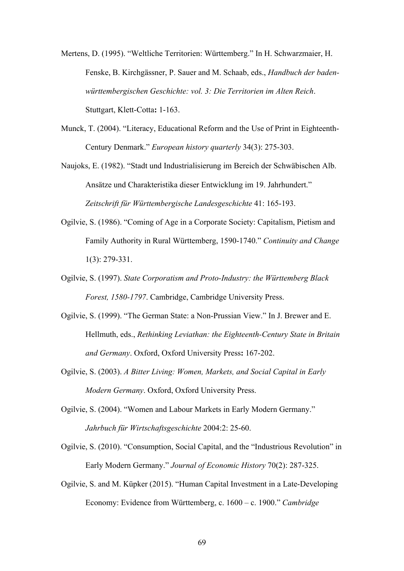Mertens, D. (1995). "Weltliche Territorien: Württemberg." In H. Schwarzmaier, H. Fenske, B. Kirchgässner, P. Sauer and M. Schaab, eds., *Handbuch der badenwürttembergischen Geschichte: vol. 3: Die Territorien im Alten Reich*. Stuttgart, Klett-Cotta**:** 1-163.

Munck, T. (2004). "Literacy, Educational Reform and the Use of Print in Eighteenth-Century Denmark." *European history quarterly* 34(3): 275-303.

Naujoks, E. (1982). "Stadt und Industrialisierung im Bereich der Schwäbischen Alb. Ansätze und Charakteristika dieser Entwicklung im 19. Jahrhundert." *Zeitschrift für Württembergische Landesgeschichte* 41: 165-193.

- Ogilvie, S. (1986). "Coming of Age in a Corporate Society: Capitalism, Pietism and Family Authority in Rural Württemberg, 1590-1740." *Continuity and Change* 1(3): 279-331.
- Ogilvie, S. (1997). *State Corporatism and Proto-Industry: the Württemberg Black Forest, 1580-1797*. Cambridge, Cambridge University Press.
- Ogilvie, S. (1999). "The German State: a Non-Prussian View." In J. Brewer and E. Hellmuth, eds., *Rethinking Leviathan: the Eighteenth-Century State in Britain and Germany*. Oxford, Oxford University Press**:** 167-202.
- Ogilvie, S. (2003). *A Bitter Living: Women, Markets, and Social Capital in Early Modern Germany*. Oxford, Oxford University Press.
- Ogilvie, S. (2004). "Women and Labour Markets in Early Modern Germany." *Jahrbuch für Wirtschaftsgeschichte* 2004:2: 25-60.

Ogilvie, S. (2010). "Consumption, Social Capital, and the "Industrious Revolution" in Early Modern Germany." *Journal of Economic History* 70(2): 287-325.

Ogilvie, S. and M. Küpker (2015). "Human Capital Investment in a Late-Developing Economy: Evidence from Württemberg, c. 1600 – c. 1900." *Cambridge*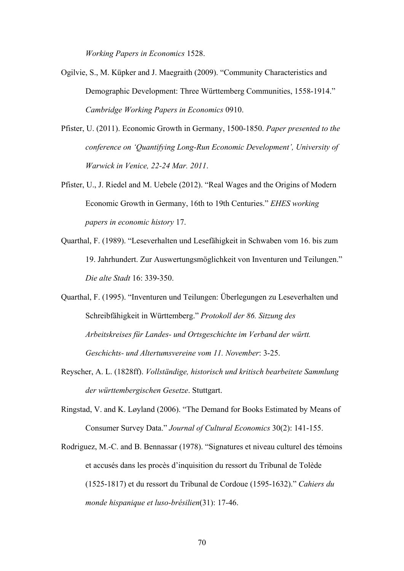*Working Papers in Economics* 1528.

- Ogilvie, S., M. Küpker and J. Maegraith (2009). "Community Characteristics and Demographic Development: Three Württemberg Communities, 1558-1914." *Cambridge Working Papers in Economics* 0910.
- Pfister, U. (2011). Economic Growth in Germany, 1500-1850. *Paper presented to the conference on 'Quantifying Long-Run Economic Development', University of Warwick in Venice, 22-24 Mar. 2011*.
- Pfister, U., J. Riedel and M. Uebele (2012). "Real Wages and the Origins of Modern Economic Growth in Germany, 16th to 19th Centuries." *EHES working papers in economic history* 17.
- Quarthal, F. (1989). "Leseverhalten und Lesefähigkeit in Schwaben vom 16. bis zum 19. Jahrhundert. Zur Auswertungsmöglichkeit von Inventuren und Teilungen." *Die alte Stadt* 16: 339-350.
- Quarthal, F. (1995). "Inventuren und Teilungen: Überlegungen zu Leseverhalten und Schreibfähigkeit in Württemberg." *Protokoll der 86. Sitzung des Arbeitskreises für Landes- und Ortsgeschichte im Verband der württ. Geschichts- und Altertumsvereine vom 11. November*: 3-25.
- Reyscher, A. L. (1828ff). *Vollständige, historisch und kritisch bearbeitete Sammlung der württembergischen Gesetze*. Stuttgart.
- Ringstad, V. and K. Løyland (2006). "The Demand for Books Estimated by Means of Consumer Survey Data." *Journal of Cultural Economics* 30(2): 141-155.
- Rodriguez, M.-C. and B. Bennassar (1978). "Signatures et niveau culturel des témoins et accusés dans les procès d'inquisition du ressort du Tribunal de Tolède (1525-1817) et du ressort du Tribunal de Cordoue (1595-1632)." *Cahiers du monde hispanique et luso-brésilien*(31): 17-46.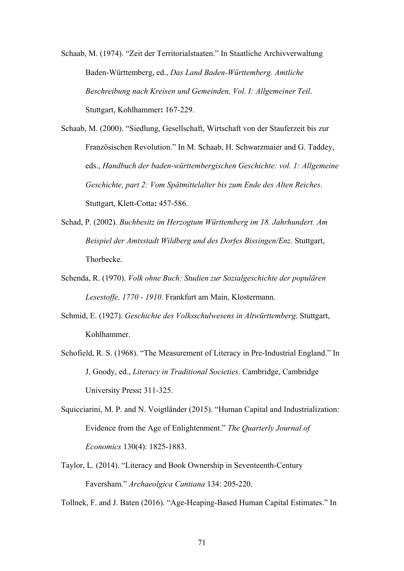Schaab, M. (1974). "Zeit der Territorialstaaten." In Staatliche Archivverwaltung Baden-Württemberg, ed., *Das Land Baden-Württemberg. Amtliche Beschreibung nach Kreisen und Gemeinden, Vol. I: Allgemeiner Teil*. Stuttgart, Kohlhammer**:** 167-229.

Schaab, M. (2000). "Siedlung, Gesellschaft, Wirtschaft von der Stauferzeit bis zur Französischen Revolution." In M. Schaab, H. Schwarzmaier and G. Taddey, eds., *Handbuch der baden-württembergischen Geschichte: vol. 1: Allgemeine Geschichte, part 2: Vom Spätmittelalter bis zum Ende des Alten Reiches*. Stuttgart, Klett-Cotta**:** 457-586.

- Schad, P. (2002). *Buchbesitz im Herzogtum Württemberg im 18. Jahrhundert. Am Beispiel der Amtsstadt Wildberg und des Dorfes Bissingen/Enz*. Stuttgart, Thorbecke.
- Schenda, R. (1970). *Volk ohne Buch: Studien zur Sozialgeschichte der populären Lesestoffe, 1770 - 1910*. Frankfurt am Main, Klostermann.
- Schmid, E. (1927). *Geschichte des Volksschulwesens in Altwürttemberg*. Stuttgart, Kohlhammer.
- Schofield, R. S. (1968). "The Measurement of Literacy in Pre-Industrial England." In J. Goody, ed., *Literacy in Traditional Societies*. Cambridge, Cambridge University Press**:** 311-325.
- Squicciarini, M. P. and N. Voigtländer (2015). "Human Capital and Industrialization: Evidence from the Age of Enlightenment." *The Quarterly Journal of Economics* 130(4): 1825-1883.
- Taylor, L. (2014). "Literacy and Book Ownership in Seventeenth-Century Faversham." *Archaeolgica Cantiana* 134: 205-220.

Tollnek, F. and J. Baten (2016). "Age-Heaping-Based Human Capital Estimates." In